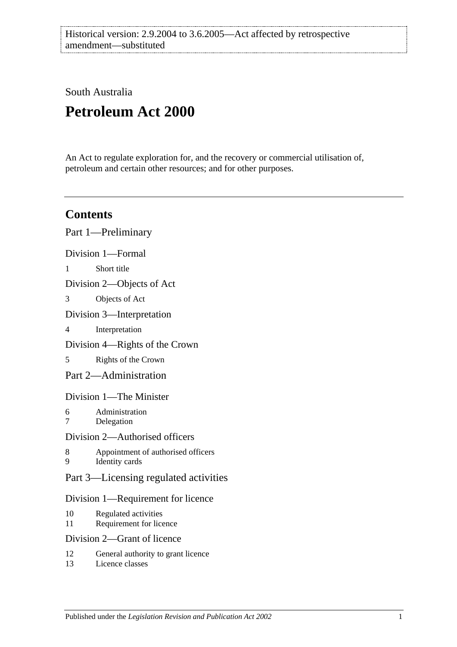South Australia

# **Petroleum Act 2000**

An Act to regulate exploration for, and the recovery or commercial utilisation of, petroleum and certain other resources; and for other purposes.

# **Contents**

|                                    | Part 1—Preliminary                                   |  |  |  |
|------------------------------------|------------------------------------------------------|--|--|--|
|                                    | Division 1-Formal                                    |  |  |  |
| 1                                  | Short title                                          |  |  |  |
| Division 2—Objects of Act          |                                                      |  |  |  |
| 3                                  | Objects of Act                                       |  |  |  |
|                                    | Division 3—Interpretation                            |  |  |  |
| 4                                  | Interpretation                                       |  |  |  |
| Division 4—Rights of the Crown     |                                                      |  |  |  |
| 5                                  | Rights of the Crown                                  |  |  |  |
|                                    | Part 2-Administration                                |  |  |  |
| Division 1—The Minister            |                                                      |  |  |  |
| 6<br>$\overline{7}$                | Administration<br>Delegation                         |  |  |  |
| Division 2—Authorised officers     |                                                      |  |  |  |
| 8<br>9                             | Appointment of authorised officers<br>Identity cards |  |  |  |
|                                    | Part 3—Licensing regulated activities                |  |  |  |
| Division 1—Requirement for licence |                                                      |  |  |  |
| 10<br>11                           | Regulated activities<br>Requirement for licence      |  |  |  |
|                                    | Division 2—Grant of licence                          |  |  |  |
| 12                                 | General authority to grant licence                   |  |  |  |

13 [Licence classes](#page-12-3)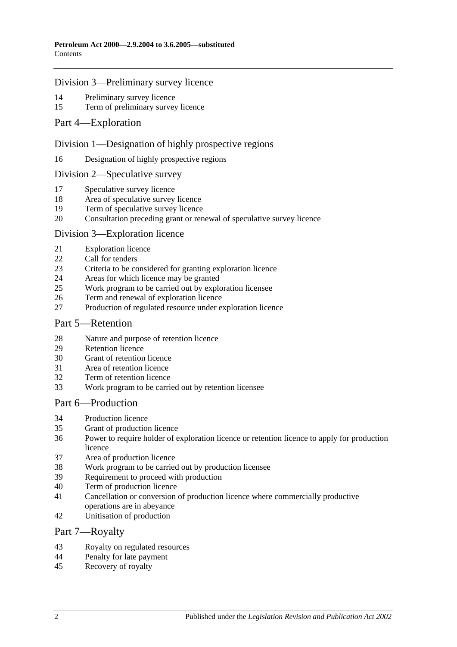#### [Division 3—Preliminary survey licence](#page-12-4)

- [Preliminary survey licence](#page-12-5)<br>15 Term of preliminary survey
- [Term of preliminary survey licence](#page-12-6)
- [Part 4—Exploration](#page-13-0)

#### [Division 1—Designation of highly prospective regions](#page-13-1)

[Designation of highly prospective regions](#page-13-2)

#### [Division 2—Speculative survey](#page-13-3)

- [Speculative survey licence](#page-13-4)
- [Area of speculative survey licence](#page-13-5)
- [Term of speculative survey licence](#page-13-6)
- [Consultation preceding grant or renewal of speculative survey licence](#page-13-7)

#### [Division 3—Exploration licence](#page-14-0)

- [Exploration licence](#page-14-1)
- [Call for tenders](#page-14-2)
- [Criteria to be considered for granting exploration licence](#page-15-0)
- [Areas for which licence may be granted](#page-15-1)
- [Work program to be carried out by exploration licensee](#page-15-2)
- [Term and renewal of exploration licence](#page-15-3)
- [Production of regulated resource under exploration licence](#page-16-0)

#### [Part 5—Retention](#page-16-1)

- [Nature and purpose of retention licence](#page-16-2)<br>29 Retention licence
- [Retention licence](#page-16-3)
- [Grant of retention licence](#page-17-0)
- [Area of retention licence](#page-17-1)
- [Term of retention licence](#page-17-2)
- [Work program to be carried out by retention licensee](#page-17-3)

# [Part 6—Production](#page-18-0)

- [Production licence](#page-18-1)
- [Grant of production licence](#page-18-2)
- [Power to require holder of exploration licence or retention licence to apply for production](#page-19-0)  [licence](#page-19-0)
- [Area of production licence](#page-19-1)
- [Work program to be carried out by production licensee](#page-19-2)
- [Requirement to proceed with production](#page-20-0)
- [Term of production licence](#page-20-1)
- [Cancellation or conversion of production licence where commercially productive](#page-20-2)  [operations are in abeyance](#page-20-2)
- [Unitisation of production](#page-20-3)

#### [Part 7—Royalty](#page-21-0)

- [Royalty on regulated resources](#page-21-1)
- [Penalty for late payment](#page-22-0)
- [Recovery of royalty](#page-22-1)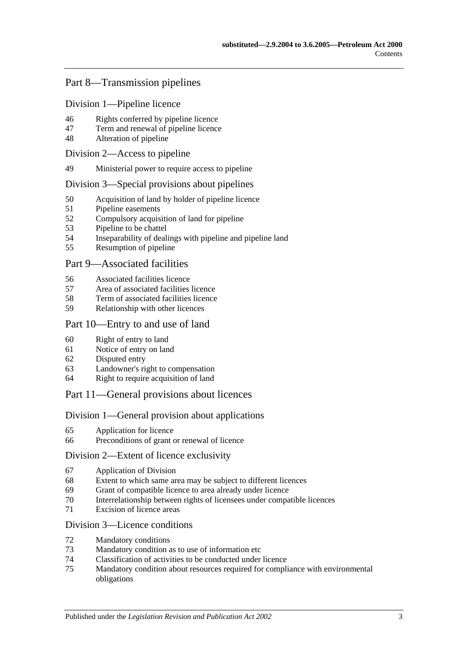# [Part 8—Transmission pipelines](#page-23-0)

[Division 1—Pipeline licence](#page-23-1)

- [Rights conferred by pipeline licence](#page-23-2)
- [Term and renewal of pipeline licence](#page-23-3)
- [Alteration of pipeline](#page-23-4)

#### [Division 2—Access to pipeline](#page-24-0)

[Ministerial power to require access to pipeline](#page-24-1)

#### [Division 3—Special provisions about pipelines](#page-24-2)

- [Acquisition of land by holder of pipeline licence](#page-24-3)
- [Pipeline easements](#page-24-4)
- [Compulsory acquisition of land for pipeline](#page-24-5)
- [Pipeline to be chattel](#page-25-0)
- [Inseparability of dealings with pipeline and pipeline land](#page-25-1)
- [Resumption of pipeline](#page-25-2)

#### [Part 9—Associated facilities](#page-26-0)

- [Associated facilities licence](#page-26-1)
- [Area of associated facilities licence](#page-26-2)
- [Term of associated facilities licence](#page-27-0)
- [Relationship with other licences](#page-27-1)

#### [Part 10—Entry to and use of land](#page-28-0)

- [Right of entry to land](#page-28-1)
- [Notice of entry on land](#page-28-2)
- [Disputed entry](#page-28-3)
- [Landowner's right to compensation](#page-28-4)
- [Right to require acquisition of land](#page-29-0)

#### [Part 11—General provisions about licences](#page-29-1)

#### [Division 1—General provision about applications](#page-29-2)

- [Application for licence](#page-29-3)
- [Preconditions of grant or renewal of licence](#page-30-0)

#### [Division 2—Extent of licence exclusivity](#page-30-1)

- [Application of Division](#page-30-2)
- [Extent to which same area may be subject to different licences](#page-30-3)
- [Grant of compatible licence to area already under licence](#page-31-0)
- [Interrelationship between rights of licensees under compatible licences](#page-31-1)
- [Excision of licence areas](#page-31-2)

#### [Division 3—Licence conditions](#page-31-3)

- [Mandatory conditions](#page-31-4)
- [Mandatory condition as to use of information etc](#page-31-5)
- [Classification of activities to be conducted under licence](#page-32-0)
- [Mandatory condition about resources required for compliance with environmental](#page-32-1)  [obligations](#page-32-1)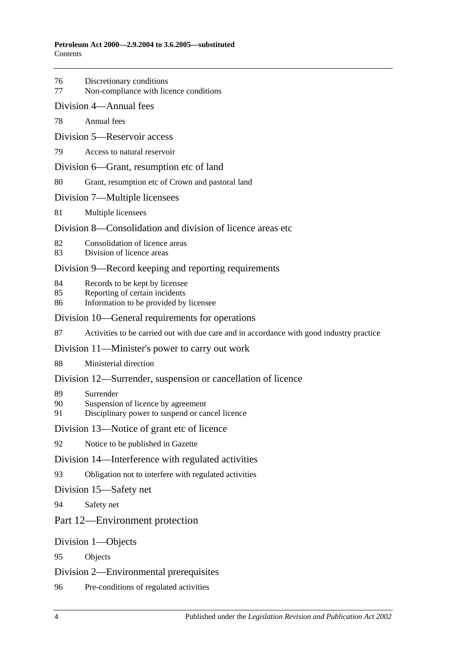- 76 [Discretionary](#page-32-2) conditions
- 77 [Non-compliance with licence conditions](#page-33-0)
- [Division 4—Annual fees](#page-33-1)
- 78 [Annual fees](#page-33-2)
- [Division 5—Reservoir access](#page-33-3)
- 79 [Access to natural reservoir](#page-33-4)
- [Division 6—Grant, resumption etc of land](#page-34-0)
- 80 [Grant, resumption etc of Crown and pastoral land](#page-34-1)
- [Division 7—Multiple licensees](#page-34-2)
- 81 [Multiple licensees](#page-34-3)
- [Division 8—Consolidation and division of licence areas etc](#page-35-0)
- 82 [Consolidation of licence areas](#page-35-1)
- 83 [Division of licence areas](#page-35-2)

### [Division 9—Record keeping and reporting requirements](#page-35-3)

- 84 [Records to be kept by licensee](#page-35-4)
- 85 [Reporting of certain incidents](#page-36-0)
- 86 [Information to be provided by licensee](#page-36-1)

#### [Division 10—General requirements for operations](#page-37-0)

87 [Activities to be carried out with due care and in accordance with good industry practice](#page-37-1)

#### [Division 11—Minister's power to carry out work](#page-37-2)

88 [Ministerial direction](#page-37-3)

#### [Division 12—Surrender, suspension or cancellation of licence](#page-37-4)

- 89 [Surrender](#page-37-5)
- 90 [Suspension of licence by agreement](#page-38-0)
- 91 [Disciplinary power to suspend or cancel licence](#page-38-1)

#### [Division 13—Notice of grant etc of licence](#page-38-2)

92 [Notice to be published in Gazette](#page-38-3)

#### [Division 14—Interference with regulated activities](#page-39-0)

93 [Obligation not to interfere with regulated activities](#page-39-1)

#### [Division 15—Safety net](#page-39-2)

94 [Safety net](#page-39-3)

#### [Part 12—Environment protection](#page-39-4)

#### [Division 1—Objects](#page-39-5)

95 [Objects](#page-39-6)

#### [Division 2—Environmental prerequisites](#page-39-7)

96 [Pre-conditions of regulated activities](#page-39-8)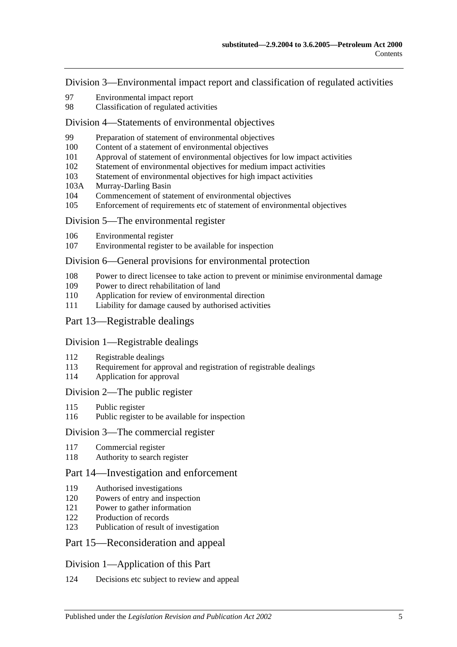[Division 3—Environmental impact report and classification of regulated activities](#page-40-0)

- [Environmental impact report](#page-40-1)
- [Classification of regulated activities](#page-40-2)

#### [Division 4—Statements of environmental objectives](#page-41-0)

- [Preparation of statement of environmental objectives](#page-41-1)
- [Content of a statement of environmental objectives](#page-41-2)
- [Approval of statement of environmental objectives for low impact activities](#page-42-0)
- [Statement of environmental objectives for medium impact activities](#page-42-1)
- [Statement of environmental objectives for high impact activities](#page-43-0)
- 103A [Murray-Darling Basin](#page-43-1)
- [Commencement of statement of environmental objectives](#page-43-2)
- [Enforcement of requirements etc of statement of environmental objectives](#page-43-3)

#### [Division 5—The environmental register](#page-44-0)

- [Environmental register](#page-44-1)
- [Environmental register to be available for inspection](#page-44-2)

#### [Division 6—General provisions for environmental protection](#page-44-3)

- [Power to direct licensee to take action to prevent or minimise environmental damage](#page-44-4)
- [Power to direct rehabilitation of land](#page-45-0)
- [Application for review of environmental direction](#page-45-1)
- [Liability for damage caused by authorised activities](#page-45-2)
- [Part 13—Registrable dealings](#page-46-0)

#### [Division 1—Registrable dealings](#page-46-1)

- [Registrable dealings](#page-46-2)
- [Requirement for approval and registration of registrable dealings](#page-46-3)
- [Application for approval](#page-46-4)

#### [Division 2—The public register](#page-47-0)

- Public [register](#page-47-1)
- [Public register to be available for inspection](#page-47-2)

#### [Division 3—The commercial register](#page-47-3)

- [Commercial register](#page-47-4)
- [Authority to search register](#page-48-0)

#### [Part 14—Investigation and enforcement](#page-48-1)

- [Authorised investigations](#page-48-2)
- [Powers of entry and inspection](#page-48-3)
- [Power to gather information](#page-49-0)
- [Production of records](#page-49-1)
- [Publication of result of investigation](#page-49-2)

#### [Part 15—Reconsideration and appeal](#page-50-0)

#### [Division 1—Application of this Part](#page-50-1)

[Decisions etc subject to review and appeal](#page-50-2)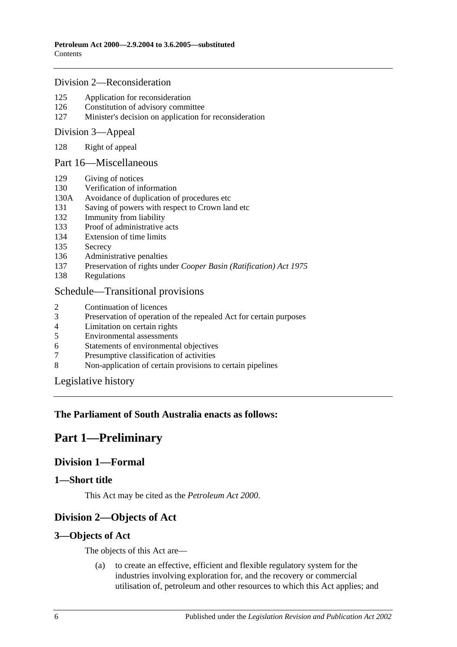#### [Division 2—Reconsideration](#page-50-3)

- 125 [Application for reconsideration](#page-50-4)
- 126 [Constitution of advisory committee](#page-50-5)
- 127 [Minister's decision on application for reconsideration](#page-51-0)

#### [Division 3—Appeal](#page-51-1)

128 [Right of appeal](#page-51-2)

#### [Part 16—Miscellaneous](#page-51-3)

- 129 [Giving of notices](#page-51-4)
- 130 [Verification of information](#page-51-5)
- 130A [Avoidance of duplication of procedures etc](#page-52-0)
- 131 [Saving of powers with respect to Crown land etc](#page-54-0)
- 132 [Immunity from liability](#page-54-1)
- 133 [Proof of administrative acts](#page-54-2)
- 134 [Extension of time limits](#page-54-3)
- 135 [Secrecy](#page-54-4)
- 136 [Administrative penalties](#page-54-5)
- 137 Preservation of rights under *[Cooper Basin \(Ratification\) Act](#page-55-0) 1975*
- 138 [Regulations](#page-55-1)

### [Schedule—Transitional provisions](#page-56-0)

- 2 [Continuation of licences](#page-56-1)
- 3 [Preservation of operation of the repealed Act for certain purposes](#page-56-2)<br>4 Limitation on certain rights
- 4 [Limitation on certain rights](#page-56-3)<br>5 Environmental assessments
- 5 [Environmental assessments](#page-57-0)
- 6 [Statements of environmental objectives](#page-57-1)
- 7 [Presumptive classification of activities](#page-57-2)
- 8 [Non-application of certain provisions to certain pipelines](#page-57-3)

[Legislative history](#page-58-0)

# <span id="page-5-0"></span>**The Parliament of South Australia enacts as follows:**

# **Part 1—Preliminary**

# <span id="page-5-1"></span>**Division 1—Formal**

# <span id="page-5-2"></span>**1—Short title**

This Act may be cited as the *Petroleum Act 2000*.

# <span id="page-5-3"></span>**Division 2—Objects of Act**

# <span id="page-5-4"></span>**3—Objects of Act**

The objects of this Act are—

(a) to create an effective, efficient and flexible regulatory system for the industries involving exploration for, and the recovery or commercial utilisation of, petroleum and other resources to which this Act applies; and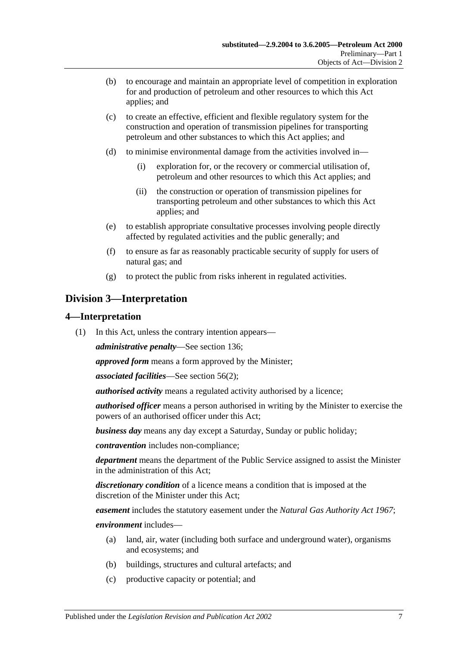- (b) to encourage and maintain an appropriate level of competition in exploration for and production of petroleum and other resources to which this Act applies; and
- (c) to create an effective, efficient and flexible regulatory system for the construction and operation of transmission pipelines for transporting petroleum and other substances to which this Act applies; and
- (d) to minimise environmental damage from the activities involved in—
	- (i) exploration for, or the recovery or commercial utilisation of, petroleum and other resources to which this Act applies; and
	- (ii) the construction or operation of transmission pipelines for transporting petroleum and other substances to which this Act applies; and
- (e) to establish appropriate consultative processes involving people directly affected by regulated activities and the public generally; and
- (f) to ensure as far as reasonably practicable security of supply for users of natural gas; and
- (g) to protect the public from risks inherent in regulated activities.

# <span id="page-6-0"></span>**Division 3—Interpretation**

### <span id="page-6-1"></span>**4—Interpretation**

(1) In this Act, unless the contrary intention appears—

*administrative penalty*—See [section](#page-54-5) 136;

*approved form* means a form approved by the Minister;

*associated facilities*—See [section](#page-26-3) 56(2);

*authorised activity* means a regulated activity authorised by a licence;

*authorised officer* means a person authorised in writing by the Minister to exercise the powers of an authorised officer under this Act;

*business day* means any day except a Saturday, Sunday or public holiday;

*contravention* includes non-compliance;

*department* means the department of the Public Service assigned to assist the Minister in the administration of this Act;

*discretionary condition* of a licence means a condition that is imposed at the discretion of the Minister under this Act;

*easement* includes the statutory easement under the *[Natural Gas Authority Act](http://www.legislation.sa.gov.au/index.aspx?action=legref&type=act&legtitle=Natural%20Gas%20Authority%20Act%201967) 1967*;

*environment* includes—

- (a) land, air, water (including both surface and underground water), organisms and ecosystems; and
- (b) buildings, structures and cultural artefacts; and
- (c) productive capacity or potential; and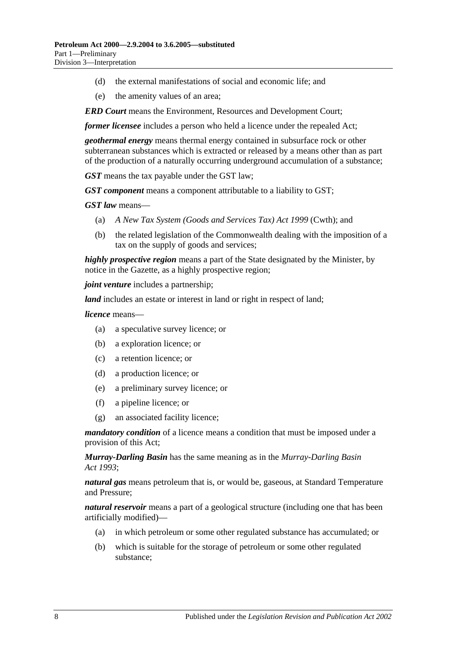- (d) the external manifestations of social and economic life; and
- (e) the amenity values of an area;

*ERD Court* means the Environment, Resources and Development Court;

*former licensee* includes a person who held a licence under the repealed Act;

*geothermal energy* means thermal energy contained in subsurface rock or other subterranean substances which is extracted or released by a means other than as part of the production of a naturally occurring underground accumulation of a substance;

*GST* means the tax payable under the GST law;

*GST component* means a component attributable to a liability to GST;

*GST law* means—

- (a) *A New Tax System (Goods and Services Tax) Act 1999* (Cwth); and
- (b) the related legislation of the Commonwealth dealing with the imposition of a tax on the supply of goods and services;

*highly prospective region* means a part of the State designated by the Minister, by notice in the Gazette, as a highly prospective region;

*joint venture* includes a partnership;

*land* includes an estate or interest in land or right in respect of land;

*licence* means—

- (a) a speculative survey licence; or
- (b) a exploration licence; or
- (c) a retention licence; or
- (d) a production licence; or
- (e) a preliminary survey licence; or
- (f) a pipeline licence; or
- (g) an associated facility licence;

*mandatory condition* of a licence means a condition that must be imposed under a provision of this Act;

*Murray-Darling Basin* has the same meaning as in the *[Murray-Darling Basin](http://www.legislation.sa.gov.au/index.aspx?action=legref&type=act&legtitle=Murray-Darling%20Basin%20Act%201993)  Act [1993](http://www.legislation.sa.gov.au/index.aspx?action=legref&type=act&legtitle=Murray-Darling%20Basin%20Act%201993)*;

*natural gas* means petroleum that is, or would be, gaseous, at Standard Temperature and Pressure;

*natural reservoir* means a part of a geological structure (including one that has been artificially modified)—

- (a) in which petroleum or some other regulated substance has accumulated; or
- (b) which is suitable for the storage of petroleum or some other regulated substance;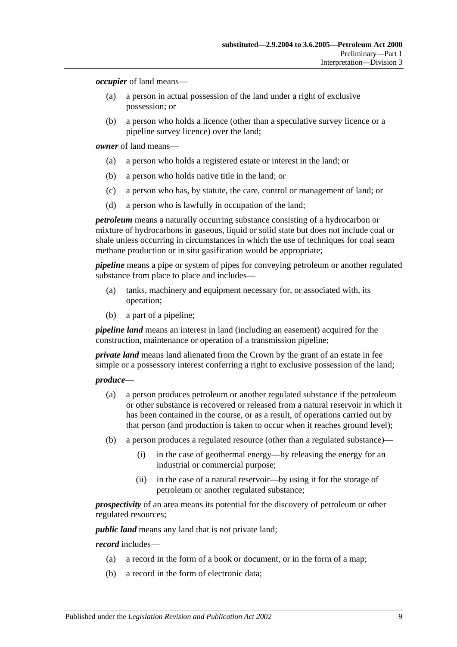*occupier* of land means—

- (a) a person in actual possession of the land under a right of exclusive possession; or
- (b) a person who holds a licence (other than a speculative survey licence or a pipeline survey licence) over the land;

*owner* of land means—

- (a) a person who holds a registered estate or interest in the land; or
- (b) a person who holds native title in the land; or
- (c) a person who has, by statute, the care, control or management of land; or
- (d) a person who is lawfully in occupation of the land;

*petroleum* means a naturally occurring substance consisting of a hydrocarbon or mixture of hydrocarbons in gaseous, liquid or solid state but does not include coal or shale unless occurring in circumstances in which the use of techniques for coal seam methane production or in situ gasification would be appropriate;

*pipeline* means a pipe or system of pipes for conveying petroleum or another regulated substance from place to place and includes—

- (a) tanks, machinery and equipment necessary for, or associated with, its operation;
- (b) a part of a pipeline;

*pipeline land* means an interest in land (including an easement) acquired for the construction, maintenance or operation of a transmission pipeline;

*private land* means land alienated from the Crown by the grant of an estate in fee simple or a possessory interest conferring a right to exclusive possession of the land;

#### *produce*—

- (a) a person produces petroleum or another regulated substance if the petroleum or other substance is recovered or released from a natural reservoir in which it has been contained in the course, or as a result, of operations carried out by that person (and production is taken to occur when it reaches ground level);
- (b) a person produces a regulated resource (other than a regulated substance)—
	- (i) in the case of geothermal energy—by releasing the energy for an industrial or commercial purpose;
	- (ii) in the case of a natural reservoir—by using it for the storage of petroleum or another regulated substance;

*prospectivity* of an area means its potential for the discovery of petroleum or other regulated resources;

*public land* means any land that is not private land;

#### *record* includes—

- (a) a record in the form of a book or document, or in the form of a map;
- (b) a record in the form of electronic data;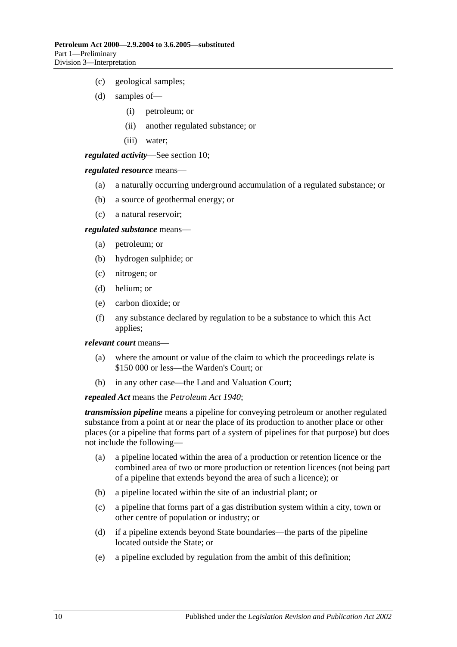- (c) geological samples;
- (d) samples of—
	- (i) petroleum; or
	- (ii) another regulated substance; or
	- (iii) water;

*regulated activity*—See [section](#page-11-2) 10;

#### *regulated resource* means—

- (a) a naturally occurring underground accumulation of a regulated substance; or
- (b) a source of geothermal energy; or
- (c) a natural reservoir;

#### *regulated substance* means—

- (a) petroleum; or
- (b) hydrogen sulphide; or
- (c) nitrogen; or
- (d) helium; or
- (e) carbon dioxide; or
- (f) any substance declared by regulation to be a substance to which this Act applies;

*relevant court* means—

- (a) where the amount or value of the claim to which the proceedings relate is \$150 000 or less—the Warden's Court; or
- (b) in any other case—the Land and Valuation Court;

#### *repealed Act* means the *[Petroleum Act](http://www.legislation.sa.gov.au/index.aspx?action=legref&type=act&legtitle=Petroleum%20Act%201940) 1940*;

*transmission pipeline* means a pipeline for conveying petroleum or another regulated substance from a point at or near the place of its production to another place or other places (or a pipeline that forms part of a system of pipelines for that purpose) but does not include the following—

- (a) a pipeline located within the area of a production or retention licence or the combined area of two or more production or retention licences (not being part of a pipeline that extends beyond the area of such a licence); or
- (b) a pipeline located within the site of an industrial plant; or
- (c) a pipeline that forms part of a gas distribution system within a city, town or other centre of population or industry; or
- (d) if a pipeline extends beyond State boundaries—the parts of the pipeline located outside the State; or
- (e) a pipeline excluded by regulation from the ambit of this definition;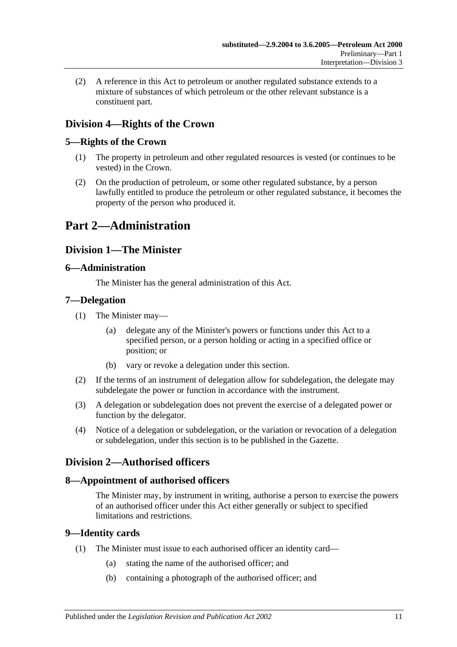(2) A reference in this Act to petroleum or another regulated substance extends to a mixture of substances of which petroleum or the other relevant substance is a constituent part.

# <span id="page-10-0"></span>**Division 4—Rights of the Crown**

# <span id="page-10-1"></span>**5—Rights of the Crown**

- (1) The property in petroleum and other regulated resources is vested (or continues to be vested) in the Crown.
- (2) On the production of petroleum, or some other regulated substance, by a person lawfully entitled to produce the petroleum or other regulated substance, it becomes the property of the person who produced it.

# <span id="page-10-3"></span><span id="page-10-2"></span>**Part 2—Administration**

# **Division 1—The Minister**

# <span id="page-10-4"></span>**6—Administration**

The Minister has the general administration of this Act.

# <span id="page-10-5"></span>**7—Delegation**

- (1) The Minister may—
	- (a) delegate any of the Minister's powers or functions under this Act to a specified person, or a person holding or acting in a specified office or position; or
	- (b) vary or revoke a delegation under this section.
- (2) If the terms of an instrument of delegation allow for subdelegation, the delegate may subdelegate the power or function in accordance with the instrument.
- (3) A delegation or subdelegation does not prevent the exercise of a delegated power or function by the delegator.
- (4) Notice of a delegation or subdelegation, or the variation or revocation of a delegation or subdelegation, under this section is to be published in the Gazette.

# <span id="page-10-6"></span>**Division 2—Authorised officers**

# <span id="page-10-7"></span>**8—Appointment of authorised officers**

The Minister may, by instrument in writing, authorise a person to exercise the powers of an authorised officer under this Act either generally or subject to specified limitations and restrictions.

# <span id="page-10-8"></span>**9—Identity cards**

- (1) The Minister must issue to each authorised officer an identity card—
	- (a) stating the name of the authorised officer; and
	- (b) containing a photograph of the authorised officer; and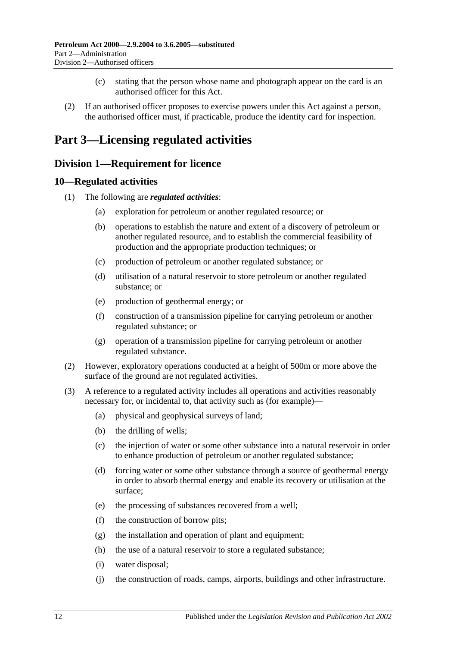- (c) stating that the person whose name and photograph appear on the card is an authorised officer for this Act.
- (2) If an authorised officer proposes to exercise powers under this Act against a person, the authorised officer must, if practicable, produce the identity card for inspection.

# <span id="page-11-0"></span>**Part 3—Licensing regulated activities**

# <span id="page-11-1"></span>**Division 1—Requirement for licence**

# <span id="page-11-2"></span>**10—Regulated activities**

- (1) The following are *regulated activities*:
	- (a) exploration for petroleum or another regulated resource; or
	- (b) operations to establish the nature and extent of a discovery of petroleum or another regulated resource, and to establish the commercial feasibility of production and the appropriate production techniques; or
	- (c) production of petroleum or another regulated substance; or
	- (d) utilisation of a natural reservoir to store petroleum or another regulated substance; or
	- (e) production of geothermal energy; or
	- (f) construction of a transmission pipeline for carrying petroleum or another regulated substance; or
	- (g) operation of a transmission pipeline for carrying petroleum or another regulated substance.
- (2) However, exploratory operations conducted at a height of 500m or more above the surface of the ground are not regulated activities.
- (3) A reference to a regulated activity includes all operations and activities reasonably necessary for, or incidental to, that activity such as (for example)—
	- (a) physical and geophysical surveys of land;
	- (b) the drilling of wells;
	- (c) the injection of water or some other substance into a natural reservoir in order to enhance production of petroleum or another regulated substance;
	- (d) forcing water or some other substance through a source of geothermal energy in order to absorb thermal energy and enable its recovery or utilisation at the surface;
	- (e) the processing of substances recovered from a well;
	- (f) the construction of borrow pits;
	- (g) the installation and operation of plant and equipment;
	- (h) the use of a natural reservoir to store a regulated substance;
	- (i) water disposal;
	- (j) the construction of roads, camps, airports, buildings and other infrastructure.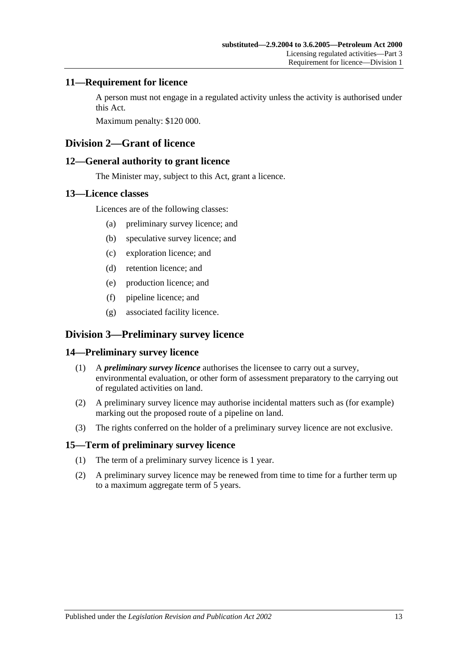# <span id="page-12-0"></span>**11—Requirement for licence**

A person must not engage in a regulated activity unless the activity is authorised under this Act.

Maximum penalty: \$120 000.

# <span id="page-12-1"></span>**Division 2—Grant of licence**

# <span id="page-12-2"></span>**12—General authority to grant licence**

The Minister may, subject to this Act, grant a licence.

# <span id="page-12-3"></span>**13—Licence classes**

Licences are of the following classes:

- (a) preliminary survey licence; and
- (b) speculative survey licence; and
- (c) exploration licence; and
- (d) retention licence; and
- (e) production licence; and
- (f) pipeline licence; and
- (g) associated facility licence.

# <span id="page-12-4"></span>**Division 3—Preliminary survey licence**

# <span id="page-12-5"></span>**14—Preliminary survey licence**

- (1) A *preliminary survey licence* authorises the licensee to carry out a survey, environmental evaluation, or other form of assessment preparatory to the carrying out of regulated activities on land.
- (2) A preliminary survey licence may authorise incidental matters such as (for example) marking out the proposed route of a pipeline on land.
- (3) The rights conferred on the holder of a preliminary survey licence are not exclusive.

# <span id="page-12-6"></span>**15—Term of preliminary survey licence**

- (1) The term of a preliminary survey licence is 1 year.
- (2) A preliminary survey licence may be renewed from time to time for a further term up to a maximum aggregate term of 5 years.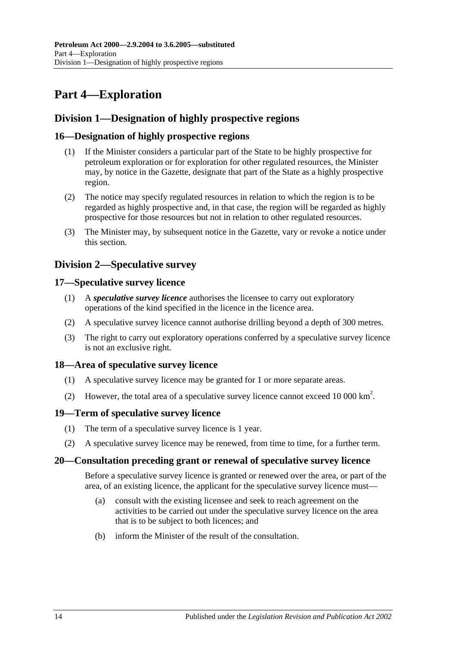# <span id="page-13-0"></span>**Part 4—Exploration**

# <span id="page-13-1"></span>**Division 1—Designation of highly prospective regions**

# <span id="page-13-2"></span>**16—Designation of highly prospective regions**

- (1) If the Minister considers a particular part of the State to be highly prospective for petroleum exploration or for exploration for other regulated resources, the Minister may, by notice in the Gazette, designate that part of the State as a highly prospective region.
- (2) The notice may specify regulated resources in relation to which the region is to be regarded as highly prospective and, in that case, the region will be regarded as highly prospective for those resources but not in relation to other regulated resources.
- (3) The Minister may, by subsequent notice in the Gazette, vary or revoke a notice under this section.

# <span id="page-13-3"></span>**Division 2—Speculative survey**

# <span id="page-13-4"></span>**17—Speculative survey licence**

- (1) A *speculative survey licence* authorises the licensee to carry out exploratory operations of the kind specified in the licence in the licence area.
- (2) A speculative survey licence cannot authorise drilling beyond a depth of 300 metres.
- (3) The right to carry out exploratory operations conferred by a speculative survey licence is not an exclusive right.

# <span id="page-13-5"></span>**18—Area of speculative survey licence**

- (1) A speculative survey licence may be granted for 1 or more separate areas.
- (2) However, the total area of a speculative survey licence cannot exceed 10 000 km<sup>2</sup>.

# <span id="page-13-6"></span>**19—Term of speculative survey licence**

- (1) The term of a speculative survey licence is 1 year.
- (2) A speculative survey licence may be renewed, from time to time, for a further term.

# <span id="page-13-7"></span>**20—Consultation preceding grant or renewal of speculative survey licence**

Before a speculative survey licence is granted or renewed over the area, or part of the area, of an existing licence, the applicant for the speculative survey licence must—

- (a) consult with the existing licensee and seek to reach agreement on the activities to be carried out under the speculative survey licence on the area that is to be subject to both licences; and
- (b) inform the Minister of the result of the consultation.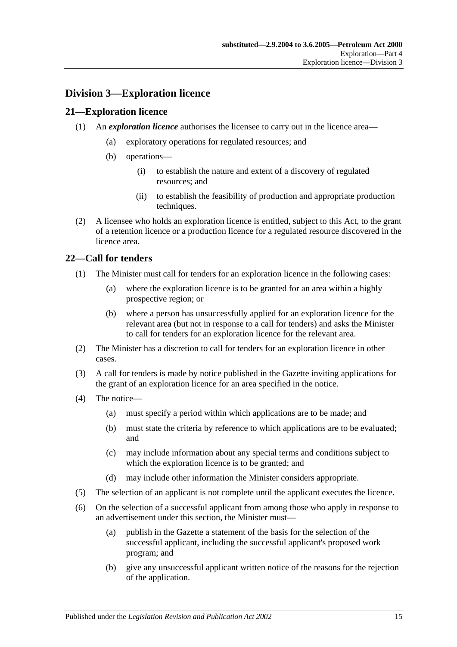# <span id="page-14-0"></span>**Division 3—Exploration licence**

# <span id="page-14-1"></span>**21—Exploration licence**

- (1) An *exploration licence* authorises the licensee to carry out in the licence area—
	- (a) exploratory operations for regulated resources; and
	- (b) operations—
		- (i) to establish the nature and extent of a discovery of regulated resources; and
		- (ii) to establish the feasibility of production and appropriate production techniques.
- (2) A licensee who holds an exploration licence is entitled, subject to this Act, to the grant of a retention licence or a production licence for a regulated resource discovered in the licence area.

# <span id="page-14-2"></span>**22—Call for tenders**

- (1) The Minister must call for tenders for an exploration licence in the following cases:
	- (a) where the exploration licence is to be granted for an area within a highly prospective region; or
	- (b) where a person has unsuccessfully applied for an exploration licence for the relevant area (but not in response to a call for tenders) and asks the Minister to call for tenders for an exploration licence for the relevant area.
- (2) The Minister has a discretion to call for tenders for an exploration licence in other cases.
- (3) A call for tenders is made by notice published in the Gazette inviting applications for the grant of an exploration licence for an area specified in the notice.
- (4) The notice—
	- (a) must specify a period within which applications are to be made; and
	- (b) must state the criteria by reference to which applications are to be evaluated; and
	- (c) may include information about any special terms and conditions subject to which the exploration licence is to be granted; and
	- (d) may include other information the Minister considers appropriate.
- (5) The selection of an applicant is not complete until the applicant executes the licence.
- (6) On the selection of a successful applicant from among those who apply in response to an advertisement under this section, the Minister must—
	- (a) publish in the Gazette a statement of the basis for the selection of the successful applicant, including the successful applicant's proposed work program; and
	- (b) give any unsuccessful applicant written notice of the reasons for the rejection of the application.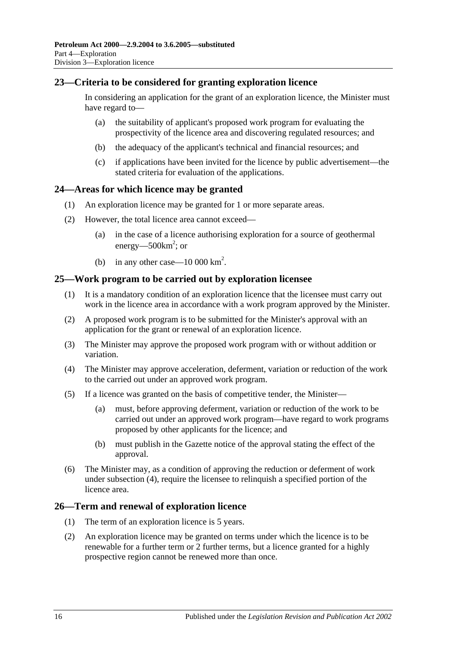# <span id="page-15-0"></span>**23—Criteria to be considered for granting exploration licence**

In considering an application for the grant of an exploration licence, the Minister must have regard to—

- (a) the suitability of applicant's proposed work program for evaluating the prospectivity of the licence area and discovering regulated resources; and
- (b) the adequacy of the applicant's technical and financial resources; and
- (c) if applications have been invited for the licence by public advertisement—the stated criteria for evaluation of the applications.

### <span id="page-15-1"></span>**24—Areas for which licence may be granted**

- (1) An exploration licence may be granted for 1 or more separate areas.
- (2) However, the total licence area cannot exceed—
	- (a) in the case of a licence authorising exploration for a source of geothermal energy—500 $km^2$ ; or
	- (b) in any other case  $-10\,000\,\mathrm{km}^2$ .

#### <span id="page-15-2"></span>**25—Work program to be carried out by exploration licensee**

- (1) It is a mandatory condition of an exploration licence that the licensee must carry out work in the licence area in accordance with a work program approved by the Minister.
- (2) A proposed work program is to be submitted for the Minister's approval with an application for the grant or renewal of an exploration licence.
- (3) The Minister may approve the proposed work program with or without addition or variation.
- <span id="page-15-4"></span>(4) The Minister may approve acceleration, deferment, variation or reduction of the work to the carried out under an approved work program.
- (5) If a licence was granted on the basis of competitive tender, the Minister—
	- (a) must, before approving deferment, variation or reduction of the work to be carried out under an approved work program—have regard to work programs proposed by other applicants for the licence; and
	- (b) must publish in the Gazette notice of the approval stating the effect of the approval.
- (6) The Minister may, as a condition of approving the reduction or deferment of work under [subsection](#page-15-4) (4), require the licensee to relinquish a specified portion of the licence area.

#### <span id="page-15-3"></span>**26—Term and renewal of exploration licence**

- (1) The term of an exploration licence is 5 years.
- (2) An exploration licence may be granted on terms under which the licence is to be renewable for a further term or 2 further terms, but a licence granted for a highly prospective region cannot be renewed more than once.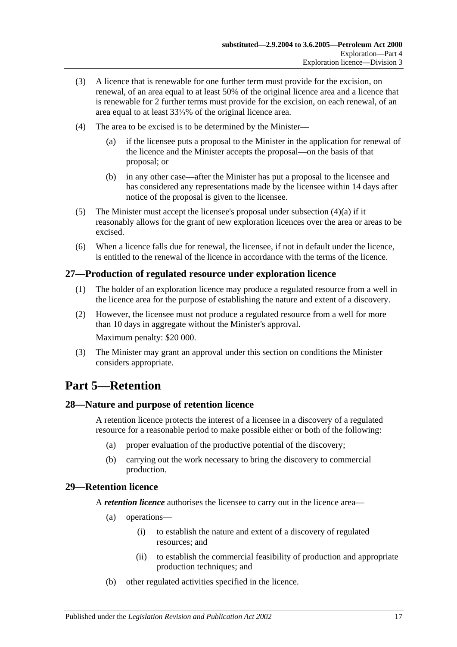- (3) A licence that is renewable for one further term must provide for the excision, on renewal, of an area equal to at least 50% of the original licence area and a licence that is renewable for 2 further terms must provide for the excision, on each renewal, of an area equal to at least 33⅓% of the original licence area.
- <span id="page-16-4"></span>(4) The area to be excised is to be determined by the Minister—
	- (a) if the licensee puts a proposal to the Minister in the application for renewal of the licence and the Minister accepts the proposal—on the basis of that proposal; or
	- (b) in any other case—after the Minister has put a proposal to the licensee and has considered any representations made by the licensee within 14 days after notice of the proposal is given to the licensee.
- (5) The Minister must accept the licensee's proposal under [subsection](#page-16-4)  $(4)(a)$  if it reasonably allows for the grant of new exploration licences over the area or areas to be excised.
- (6) When a licence falls due for renewal, the licensee, if not in default under the licence, is entitled to the renewal of the licence in accordance with the terms of the licence.

# <span id="page-16-0"></span>**27—Production of regulated resource under exploration licence**

- (1) The holder of an exploration licence may produce a regulated resource from a well in the licence area for the purpose of establishing the nature and extent of a discovery.
- (2) However, the licensee must not produce a regulated resource from a well for more than 10 days in aggregate without the Minister's approval. Maximum penalty: \$20 000.
- (3) The Minister may grant an approval under this section on conditions the Minister considers appropriate.

# <span id="page-16-1"></span>**Part 5—Retention**

# <span id="page-16-2"></span>**28—Nature and purpose of retention licence**

A retention licence protects the interest of a licensee in a discovery of a regulated resource for a reasonable period to make possible either or both of the following:

- (a) proper evaluation of the productive potential of the discovery;
- (b) carrying out the work necessary to bring the discovery to commercial production.

# <span id="page-16-3"></span>**29—Retention licence**

A *retention licence* authorises the licensee to carry out in the licence area—

- (a) operations—
	- (i) to establish the nature and extent of a discovery of regulated resources; and
	- (ii) to establish the commercial feasibility of production and appropriate production techniques; and
- (b) other regulated activities specified in the licence.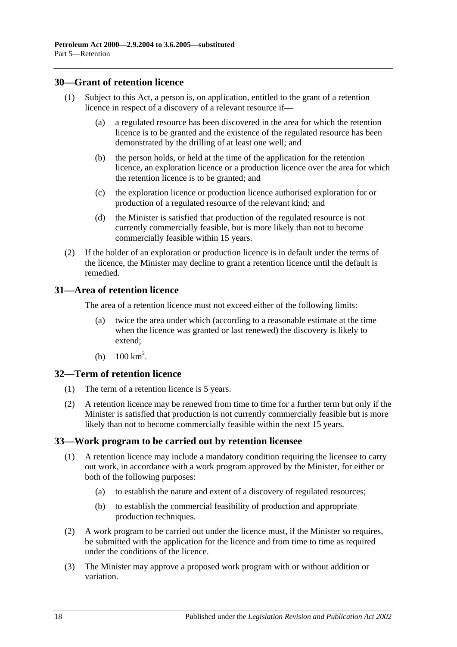### <span id="page-17-0"></span>**30—Grant of retention licence**

- (1) Subject to this Act, a person is, on application, entitled to the grant of a retention licence in respect of a discovery of a relevant resource if—
	- (a) a regulated resource has been discovered in the area for which the retention licence is to be granted and the existence of the regulated resource has been demonstrated by the drilling of at least one well; and
	- (b) the person holds, or held at the time of the application for the retention licence, an exploration licence or a production licence over the area for which the retention licence is to be granted; and
	- (c) the exploration licence or production licence authorised exploration for or production of a regulated resource of the relevant kind; and
	- (d) the Minister is satisfied that production of the regulated resource is not currently commercially feasible, but is more likely than not to become commercially feasible within 15 years.
- (2) If the holder of an exploration or production licence is in default under the terms of the licence, the Minister may decline to grant a retention licence until the default is remedied.

# <span id="page-17-1"></span>**31—Area of retention licence**

The area of a retention licence must not exceed either of the following limits:

- (a) twice the area under which (according to a reasonable estimate at the time when the licence was granted or last renewed) the discovery is likely to extend;
- (b)  $100 \text{ km}^2$ .

#### <span id="page-17-2"></span>**32—Term of retention licence**

- (1) The term of a retention licence is 5 years.
- (2) A retention licence may be renewed from time to time for a further term but only if the Minister is satisfied that production is not currently commercially feasible but is more likely than not to become commercially feasible within the next 15 years.

# <span id="page-17-3"></span>**33—Work program to be carried out by retention licensee**

- (1) A retention licence may include a mandatory condition requiring the licensee to carry out work, in accordance with a work program approved by the Minister, for either or both of the following purposes:
	- (a) to establish the nature and extent of a discovery of regulated resources;
	- (b) to establish the commercial feasibility of production and appropriate production techniques.
- (2) A work program to be carried out under the licence must, if the Minister so requires, be submitted with the application for the licence and from time to time as required under the conditions of the licence.
- (3) The Minister may approve a proposed work program with or without addition or variation.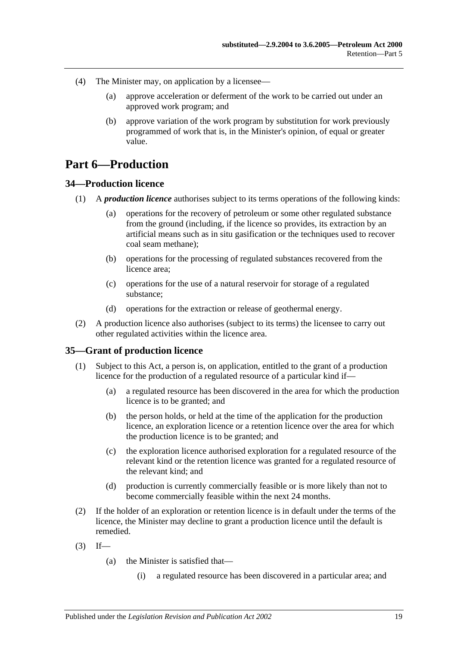- (4) The Minister may, on application by a licensee—
	- (a) approve acceleration or deferment of the work to be carried out under an approved work program; and
	- (b) approve variation of the work program by substitution for work previously programmed of work that is, in the Minister's opinion, of equal or greater value.

# <span id="page-18-0"></span>**Part 6—Production**

# <span id="page-18-1"></span>**34—Production licence**

- (1) A *production licence* authorises subject to its terms operations of the following kinds:
	- (a) operations for the recovery of petroleum or some other regulated substance from the ground (including, if the licence so provides, its extraction by an artificial means such as in situ gasification or the techniques used to recover coal seam methane);
	- (b) operations for the processing of regulated substances recovered from the licence area;
	- (c) operations for the use of a natural reservoir for storage of a regulated substance;
	- (d) operations for the extraction or release of geothermal energy.
- (2) A production licence also authorises (subject to its terms) the licensee to carry out other regulated activities within the licence area.

#### <span id="page-18-3"></span><span id="page-18-2"></span>**35—Grant of production licence**

- (1) Subject to this Act, a person is, on application, entitled to the grant of a production licence for the production of a regulated resource of a particular kind if—
	- (a) a regulated resource has been discovered in the area for which the production licence is to be granted; and
	- (b) the person holds, or held at the time of the application for the production licence, an exploration licence or a retention licence over the area for which the production licence is to be granted; and
	- (c) the exploration licence authorised exploration for a regulated resource of the relevant kind or the retention licence was granted for a regulated resource of the relevant kind; and
	- (d) production is currently commercially feasible or is more likely than not to become commercially feasible within the next 24 months.
- (2) If the holder of an exploration or retention licence is in default under the terms of the licence, the Minister may decline to grant a production licence until the default is remedied.
- $(3)$  If—
	- (a) the Minister is satisfied that—
		- (i) a regulated resource has been discovered in a particular area; and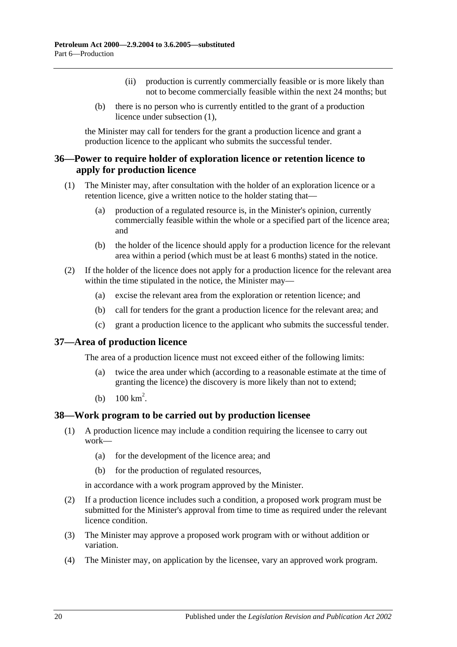- (ii) production is currently commercially feasible or is more likely than not to become commercially feasible within the next 24 months; but
- (b) there is no person who is currently entitled to the grant of a production licence under [subsection](#page-18-3) (1),

the Minister may call for tenders for the grant a production licence and grant a production licence to the applicant who submits the successful tender.

# <span id="page-19-0"></span>**36—Power to require holder of exploration licence or retention licence to apply for production licence**

- (1) The Minister may, after consultation with the holder of an exploration licence or a retention licence, give a written notice to the holder stating that—
	- (a) production of a regulated resource is, in the Minister's opinion, currently commercially feasible within the whole or a specified part of the licence area; and
	- (b) the holder of the licence should apply for a production licence for the relevant area within a period (which must be at least 6 months) stated in the notice.
- (2) If the holder of the licence does not apply for a production licence for the relevant area within the time stipulated in the notice, the Minister may—
	- (a) excise the relevant area from the exploration or retention licence; and
	- (b) call for tenders for the grant a production licence for the relevant area; and
	- (c) grant a production licence to the applicant who submits the successful tender.

# <span id="page-19-1"></span>**37—Area of production licence**

The area of a production licence must not exceed either of the following limits:

- (a) twice the area under which (according to a reasonable estimate at the time of granting the licence) the discovery is more likely than not to extend;
- (b)  $100 \text{ km}^2$ .

# <span id="page-19-2"></span>**38—Work program to be carried out by production licensee**

- (1) A production licence may include a condition requiring the licensee to carry out work—
	- (a) for the development of the licence area; and
	- (b) for the production of regulated resources,

in accordance with a work program approved by the Minister.

- (2) If a production licence includes such a condition, a proposed work program must be submitted for the Minister's approval from time to time as required under the relevant licence condition.
- (3) The Minister may approve a proposed work program with or without addition or variation.
- (4) The Minister may, on application by the licensee, vary an approved work program.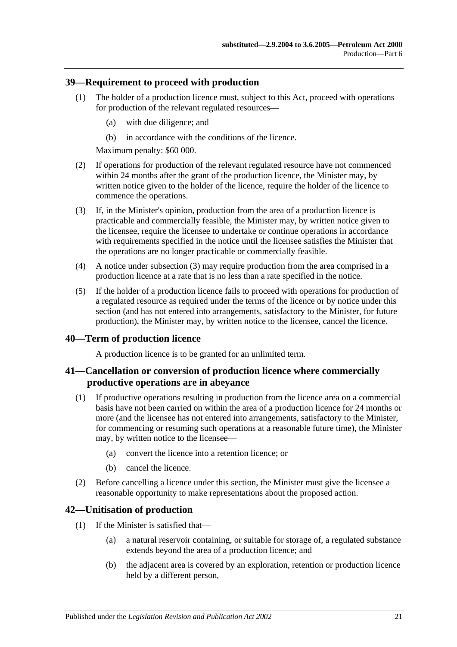### <span id="page-20-0"></span>**39—Requirement to proceed with production**

- (1) The holder of a production licence must, subject to this Act, proceed with operations for production of the relevant regulated resources—
	- (a) with due diligence; and
	- (b) in accordance with the conditions of the licence.

Maximum penalty: \$60 000.

- (2) If operations for production of the relevant regulated resource have not commenced within 24 months after the grant of the production licence, the Minister may, by written notice given to the holder of the licence, require the holder of the licence to commence the operations.
- <span id="page-20-4"></span>(3) If, in the Minister's opinion, production from the area of a production licence is practicable and commercially feasible, the Minister may, by written notice given to the licensee, require the licensee to undertake or continue operations in accordance with requirements specified in the notice until the licensee satisfies the Minister that the operations are no longer practicable or commercially feasible.
- (4) A notice under [subsection](#page-20-4) (3) may require production from the area comprised in a production licence at a rate that is no less than a rate specified in the notice.
- (5) If the holder of a production licence fails to proceed with operations for production of a regulated resource as required under the terms of the licence or by notice under this section (and has not entered into arrangements, satisfactory to the Minister, for future production), the Minister may, by written notice to the licensee, cancel the licence.

#### <span id="page-20-1"></span>**40—Term of production licence**

A production licence is to be granted for an unlimited term.

### <span id="page-20-2"></span>**41—Cancellation or conversion of production licence where commercially productive operations are in abeyance**

- (1) If productive operations resulting in production from the licence area on a commercial basis have not been carried on within the area of a production licence for 24 months or more (and the licensee has not entered into arrangements, satisfactory to the Minister, for commencing or resuming such operations at a reasonable future time), the Minister may, by written notice to the licensee—
	- (a) convert the licence into a retention licence; or
	- (b) cancel the licence.
- <span id="page-20-5"></span>(2) Before cancelling a licence under this section, the Minister must give the licensee a reasonable opportunity to make representations about the proposed action.

# <span id="page-20-3"></span>**42—Unitisation of production**

- (1) If the Minister is satisfied that—
	- (a) a natural reservoir containing, or suitable for storage of, a regulated substance extends beyond the area of a production licence; and
	- (b) the adjacent area is covered by an exploration, retention or production licence held by a different person,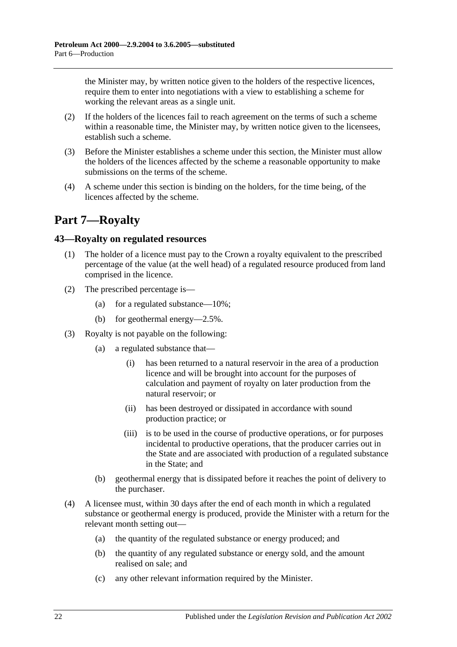the Minister may, by written notice given to the holders of the respective licences, require them to enter into negotiations with a view to establishing a scheme for working the relevant areas as a single unit.

- (2) If the holders of the licences fail to reach agreement on the terms of such a scheme within a reasonable time, the Minister may, by written notice given to the licensees, establish such a scheme.
- (3) Before the Minister establishes a scheme under this section, the Minister must allow the holders of the licences affected by the scheme a reasonable opportunity to make submissions on the terms of the scheme.
- (4) A scheme under this section is binding on the holders, for the time being, of the licences affected by the scheme.

# <span id="page-21-0"></span>**Part 7—Royalty**

# <span id="page-21-1"></span>**43—Royalty on regulated resources**

- (1) The holder of a licence must pay to the Crown a royalty equivalent to the prescribed percentage of the value (at the well head) of a regulated resource produced from land comprised in the licence.
- (2) The prescribed percentage is—
	- (a) for a regulated substance—10%;
	- (b) for geothermal energy—2.5%.
- (3) Royalty is not payable on the following:
	- (a) a regulated substance that—
		- (i) has been returned to a natural reservoir in the area of a production licence and will be brought into account for the purposes of calculation and payment of royalty on later production from the natural reservoir; or
		- (ii) has been destroyed or dissipated in accordance with sound production practice; or
		- (iii) is to be used in the course of productive operations, or for purposes incidental to productive operations, that the producer carries out in the State and are associated with production of a regulated substance in the State; and
	- (b) geothermal energy that is dissipated before it reaches the point of delivery to the purchaser.
- (4) A licensee must, within 30 days after the end of each month in which a regulated substance or geothermal energy is produced, provide the Minister with a return for the relevant month setting out—
	- (a) the quantity of the regulated substance or energy produced; and
	- (b) the quantity of any regulated substance or energy sold, and the amount realised on sale; and
	- (c) any other relevant information required by the Minister.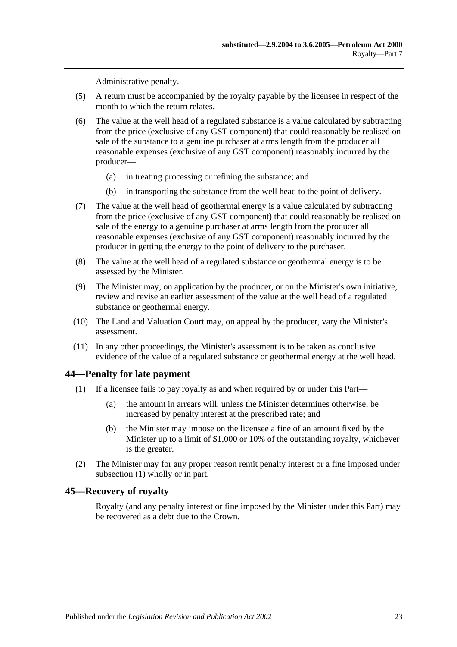Administrative penalty.

- (5) A return must be accompanied by the royalty payable by the licensee in respect of the month to which the return relates.
- (6) The value at the well head of a regulated substance is a value calculated by subtracting from the price (exclusive of any GST component) that could reasonably be realised on sale of the substance to a genuine purchaser at arms length from the producer all reasonable expenses (exclusive of any GST component) reasonably incurred by the producer—
	- (a) in treating processing or refining the substance; and
	- (b) in transporting the substance from the well head to the point of delivery.
- (7) The value at the well head of geothermal energy is a value calculated by subtracting from the price (exclusive of any GST component) that could reasonably be realised on sale of the energy to a genuine purchaser at arms length from the producer all reasonable expenses (exclusive of any GST component) reasonably incurred by the producer in getting the energy to the point of delivery to the purchaser.
- (8) The value at the well head of a regulated substance or geothermal energy is to be assessed by the Minister.
- (9) The Minister may, on application by the producer, or on the Minister's own initiative, review and revise an earlier assessment of the value at the well head of a regulated substance or geothermal energy.
- (10) The Land and Valuation Court may, on appeal by the producer, vary the Minister's assessment.
- (11) In any other proceedings, the Minister's assessment is to be taken as conclusive evidence of the value of a regulated substance or geothermal energy at the well head.

#### <span id="page-22-2"></span><span id="page-22-0"></span>**44—Penalty for late payment**

- (1) If a licensee fails to pay royalty as and when required by or under this Part—
	- (a) the amount in arrears will, unless the Minister determines otherwise, be increased by penalty interest at the prescribed rate; and
	- (b) the Minister may impose on the licensee a fine of an amount fixed by the Minister up to a limit of \$1,000 or 10% of the outstanding royalty, whichever is the greater.
- (2) The Minister may for any proper reason remit penalty interest or a fine imposed under [subsection](#page-22-2) (1) wholly or in part.

#### <span id="page-22-1"></span>**45—Recovery of royalty**

Royalty (and any penalty interest or fine imposed by the Minister under this Part) may be recovered as a debt due to the Crown.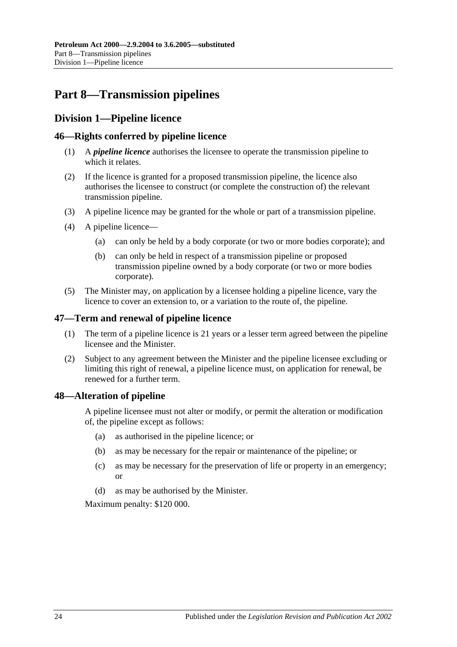# <span id="page-23-0"></span>**Part 8—Transmission pipelines**

# <span id="page-23-1"></span>**Division 1—Pipeline licence**

# <span id="page-23-2"></span>**46—Rights conferred by pipeline licence**

- (1) A *pipeline licence* authorises the licensee to operate the transmission pipeline to which it relates.
- (2) If the licence is granted for a proposed transmission pipeline, the licence also authorises the licensee to construct (or complete the construction of) the relevant transmission pipeline.
- (3) A pipeline licence may be granted for the whole or part of a transmission pipeline.
- (4) A pipeline licence—
	- (a) can only be held by a body corporate (or two or more bodies corporate); and
	- (b) can only be held in respect of a transmission pipeline or proposed transmission pipeline owned by a body corporate (or two or more bodies corporate).
- (5) The Minister may, on application by a licensee holding a pipeline licence, vary the licence to cover an extension to, or a variation to the route of, the pipeline.

# <span id="page-23-3"></span>**47—Term and renewal of pipeline licence**

- (1) The term of a pipeline licence is 21 years or a lesser term agreed between the pipeline licensee and the Minister.
- (2) Subject to any agreement between the Minister and the pipeline licensee excluding or limiting this right of renewal, a pipeline licence must, on application for renewal, be renewed for a further term.

# <span id="page-23-4"></span>**48—Alteration of pipeline**

A pipeline licensee must not alter or modify, or permit the alteration or modification of, the pipeline except as follows:

- (a) as authorised in the pipeline licence; or
- (b) as may be necessary for the repair or maintenance of the pipeline; or
- (c) as may be necessary for the preservation of life or property in an emergency; or
- (d) as may be authorised by the Minister.

Maximum penalty: \$120 000.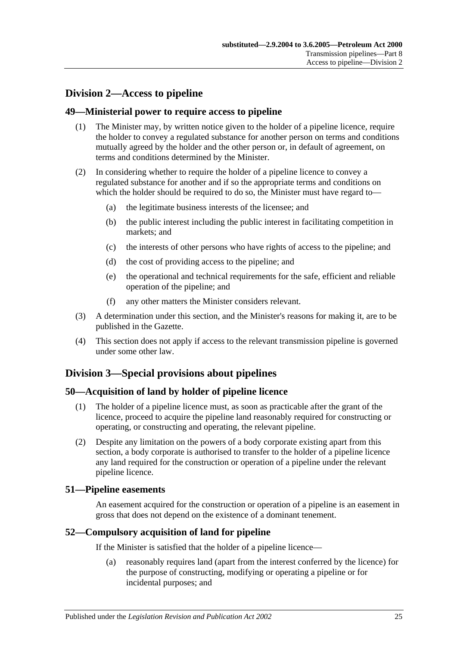# <span id="page-24-0"></span>**Division 2—Access to pipeline**

# <span id="page-24-1"></span>**49—Ministerial power to require access to pipeline**

- (1) The Minister may, by written notice given to the holder of a pipeline licence, require the holder to convey a regulated substance for another person on terms and conditions mutually agreed by the holder and the other person or, in default of agreement, on terms and conditions determined by the Minister.
- (2) In considering whether to require the holder of a pipeline licence to convey a regulated substance for another and if so the appropriate terms and conditions on which the holder should be required to do so, the Minister must have regard to—
	- (a) the legitimate business interests of the licensee; and
	- (b) the public interest including the public interest in facilitating competition in markets; and
	- (c) the interests of other persons who have rights of access to the pipeline; and
	- (d) the cost of providing access to the pipeline; and
	- (e) the operational and technical requirements for the safe, efficient and reliable operation of the pipeline; and
	- (f) any other matters the Minister considers relevant.
- (3) A determination under this section, and the Minister's reasons for making it, are to be published in the Gazette.
- (4) This section does not apply if access to the relevant transmission pipeline is governed under some other law.

# <span id="page-24-2"></span>**Division 3—Special provisions about pipelines**

# <span id="page-24-3"></span>**50—Acquisition of land by holder of pipeline licence**

- (1) The holder of a pipeline licence must, as soon as practicable after the grant of the licence, proceed to acquire the pipeline land reasonably required for constructing or operating, or constructing and operating, the relevant pipeline.
- (2) Despite any limitation on the powers of a body corporate existing apart from this section, a body corporate is authorised to transfer to the holder of a pipeline licence any land required for the construction or operation of a pipeline under the relevant pipeline licence.

# <span id="page-24-4"></span>**51—Pipeline easements**

An easement acquired for the construction or operation of a pipeline is an easement in gross that does not depend on the existence of a dominant tenement.

# <span id="page-24-5"></span>**52—Compulsory acquisition of land for pipeline**

If the Minister is satisfied that the holder of a pipeline licence—

(a) reasonably requires land (apart from the interest conferred by the licence) for the purpose of constructing, modifying or operating a pipeline or for incidental purposes; and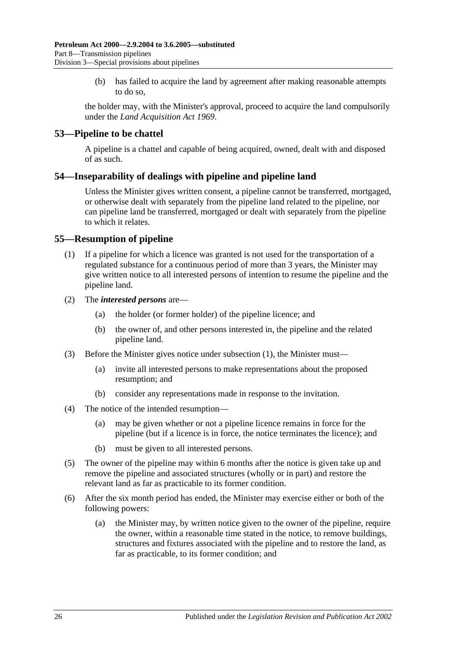(b) has failed to acquire the land by agreement after making reasonable attempts to do so,

the holder may, with the Minister's approval, proceed to acquire the land compulsorily under the *[Land Acquisition Act](http://www.legislation.sa.gov.au/index.aspx?action=legref&type=act&legtitle=Land%20Acquisition%20Act%201969) 1969*.

# <span id="page-25-0"></span>**53—Pipeline to be chattel**

A pipeline is a chattel and capable of being acquired, owned, dealt with and disposed of as such.

# <span id="page-25-1"></span>**54—Inseparability of dealings with pipeline and pipeline land**

Unless the Minister gives written consent, a pipeline cannot be transferred, mortgaged, or otherwise dealt with separately from the pipeline land related to the pipeline, nor can pipeline land be transferred, mortgaged or dealt with separately from the pipeline to which it relates.

# <span id="page-25-3"></span><span id="page-25-2"></span>**55—Resumption of pipeline**

- (1) If a pipeline for which a licence was granted is not used for the transportation of a regulated substance for a continuous period of more than 3 years, the Minister may give written notice to all interested persons of intention to resume the pipeline and the pipeline land.
- (2) The *interested persons* are—
	- (a) the holder (or former holder) of the pipeline licence; and
	- (b) the owner of, and other persons interested in, the pipeline and the related pipeline land.
- (3) Before the Minister gives notice under [subsection](#page-25-3) (1), the Minister must—
	- (a) invite all interested persons to make representations about the proposed resumption; and
	- (b) consider any representations made in response to the invitation.
- (4) The notice of the intended resumption—
	- (a) may be given whether or not a pipeline licence remains in force for the pipeline (but if a licence is in force, the notice terminates the licence); and
	- (b) must be given to all interested persons.
- (5) The owner of the pipeline may within 6 months after the notice is given take up and remove the pipeline and associated structures (wholly or in part) and restore the relevant land as far as practicable to its former condition.
- <span id="page-25-4"></span>(6) After the six month period has ended, the Minister may exercise either or both of the following powers:
	- (a) the Minister may, by written notice given to the owner of the pipeline, require the owner, within a reasonable time stated in the notice, to remove buildings, structures and fixtures associated with the pipeline and to restore the land, as far as practicable, to its former condition; and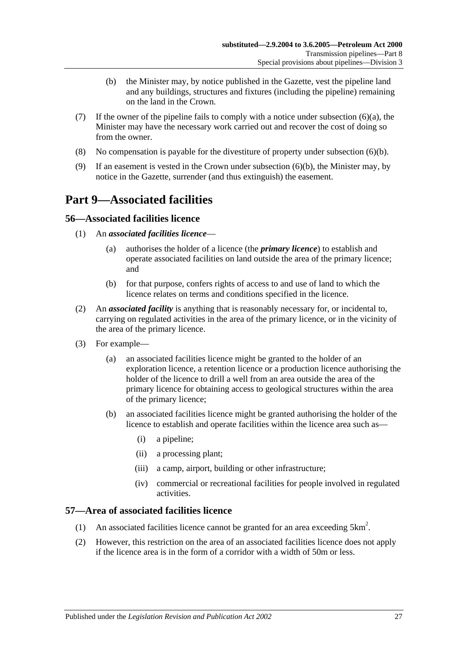- (b) the Minister may, by notice published in the Gazette, vest the pipeline land and any buildings, structures and fixtures (including the pipeline) remaining on the land in the Crown.
- <span id="page-26-4"></span>(7) If the owner of the pipeline fails to comply with a notice under [subsection](#page-25-4)  $(6)(a)$ , the Minister may have the necessary work carried out and recover the cost of doing so from the owner.
- (8) No compensation is payable for the divestiture of property under [subsection](#page-26-4) (6)(b).
- (9) If an easement is vested in the Crown under [subsection](#page-26-4) (6)(b), the Minister may, by notice in the Gazette, surrender (and thus extinguish) the easement.

# <span id="page-26-0"></span>**Part 9—Associated facilities**

# <span id="page-26-1"></span>**56—Associated facilities licence**

- (1) An *associated facilities licence*
	- (a) authorises the holder of a licence (the *primary licence*) to establish and operate associated facilities on land outside the area of the primary licence; and
	- (b) for that purpose, confers rights of access to and use of land to which the licence relates on terms and conditions specified in the licence.
- <span id="page-26-3"></span>(2) An *associated facility* is anything that is reasonably necessary for, or incidental to, carrying on regulated activities in the area of the primary licence, or in the vicinity of the area of the primary licence.
- (3) For example—
	- (a) an associated facilities licence might be granted to the holder of an exploration licence, a retention licence or a production licence authorising the holder of the licence to drill a well from an area outside the area of the primary licence for obtaining access to geological structures within the area of the primary licence;
	- (b) an associated facilities licence might be granted authorising the holder of the licence to establish and operate facilities within the licence area such as—
		- (i) a pipeline;
		- (ii) a processing plant;
		- (iii) a camp, airport, building or other infrastructure;
		- (iv) commercial or recreational facilities for people involved in regulated activities.

# <span id="page-26-2"></span>**57—Area of associated facilities licence**

- (1) An associated facilities licence cannot be granted for an area exceeding  $5 \text{km}^2$ .
- (2) However, this restriction on the area of an associated facilities licence does not apply if the licence area is in the form of a corridor with a width of 50m or less.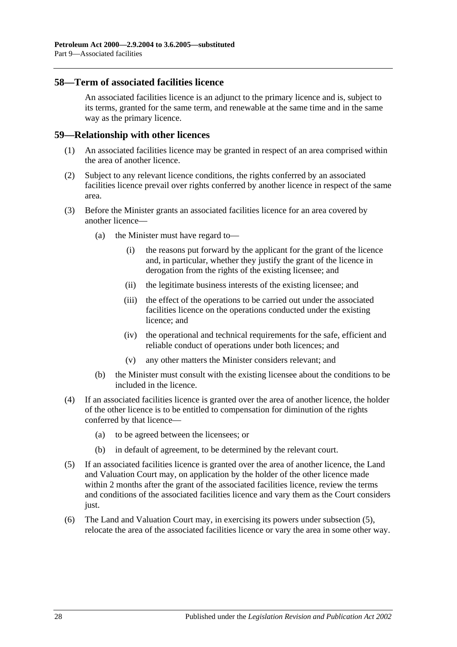### <span id="page-27-0"></span>**58—Term of associated facilities licence**

An associated facilities licence is an adjunct to the primary licence and is, subject to its terms, granted for the same term, and renewable at the same time and in the same way as the primary licence.

#### <span id="page-27-1"></span>**59—Relationship with other licences**

- (1) An associated facilities licence may be granted in respect of an area comprised within the area of another licence.
- (2) Subject to any relevant licence conditions, the rights conferred by an associated facilities licence prevail over rights conferred by another licence in respect of the same area.
- (3) Before the Minister grants an associated facilities licence for an area covered by another licence—
	- (a) the Minister must have regard to—
		- (i) the reasons put forward by the applicant for the grant of the licence and, in particular, whether they justify the grant of the licence in derogation from the rights of the existing licensee; and
		- (ii) the legitimate business interests of the existing licensee; and
		- (iii) the effect of the operations to be carried out under the associated facilities licence on the operations conducted under the existing licence; and
		- (iv) the operational and technical requirements for the safe, efficient and reliable conduct of operations under both licences; and
		- (v) any other matters the Minister considers relevant; and
	- (b) the Minister must consult with the existing licensee about the conditions to be included in the licence.
- (4) If an associated facilities licence is granted over the area of another licence, the holder of the other licence is to be entitled to compensation for diminution of the rights conferred by that licence—
	- (a) to be agreed between the licensees; or
	- (b) in default of agreement, to be determined by the relevant court.
- <span id="page-27-2"></span>(5) If an associated facilities licence is granted over the area of another licence, the Land and Valuation Court may, on application by the holder of the other licence made within 2 months after the grant of the associated facilities licence, review the terms and conditions of the associated facilities licence and vary them as the Court considers just.
- (6) The Land and Valuation Court may, in exercising its powers under [subsection](#page-27-2) (5), relocate the area of the associated facilities licence or vary the area in some other way.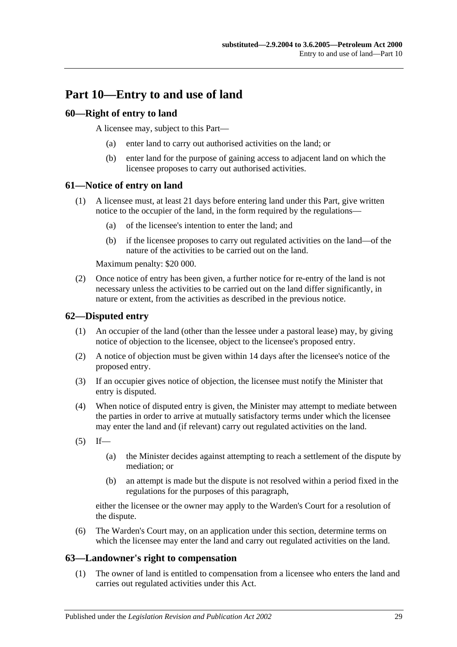# <span id="page-28-0"></span>**Part 10—Entry to and use of land**

# <span id="page-28-1"></span>**60—Right of entry to land**

A licensee may, subject to this Part—

- (a) enter land to carry out authorised activities on the land; or
- (b) enter land for the purpose of gaining access to adjacent land on which the licensee proposes to carry out authorised activities.

# <span id="page-28-2"></span>**61—Notice of entry on land**

- (1) A licensee must, at least 21 days before entering land under this Part, give written notice to the occupier of the land, in the form required by the regulations—
	- (a) of the licensee's intention to enter the land; and
	- (b) if the licensee proposes to carry out regulated activities on the land—of the nature of the activities to be carried out on the land.

Maximum penalty: \$20 000.

(2) Once notice of entry has been given, a further notice for re-entry of the land is not necessary unless the activities to be carried out on the land differ significantly, in nature or extent, from the activities as described in the previous notice.

# <span id="page-28-3"></span>**62—Disputed entry**

- (1) An occupier of the land (other than the lessee under a pastoral lease) may, by giving notice of objection to the licensee, object to the licensee's proposed entry.
- (2) A notice of objection must be given within 14 days after the licensee's notice of the proposed entry.
- (3) If an occupier gives notice of objection, the licensee must notify the Minister that entry is disputed.
- (4) When notice of disputed entry is given, the Minister may attempt to mediate between the parties in order to arrive at mutually satisfactory terms under which the licensee may enter the land and (if relevant) carry out regulated activities on the land.
- $(5)$  If—
	- (a) the Minister decides against attempting to reach a settlement of the dispute by mediation; or
	- (b) an attempt is made but the dispute is not resolved within a period fixed in the regulations for the purposes of this paragraph,

either the licensee or the owner may apply to the Warden's Court for a resolution of the dispute.

(6) The Warden's Court may, on an application under this section, determine terms on which the licensee may enter the land and carry out regulated activities on the land.

# <span id="page-28-4"></span>**63—Landowner's right to compensation**

(1) The owner of land is entitled to compensation from a licensee who enters the land and carries out regulated activities under this Act.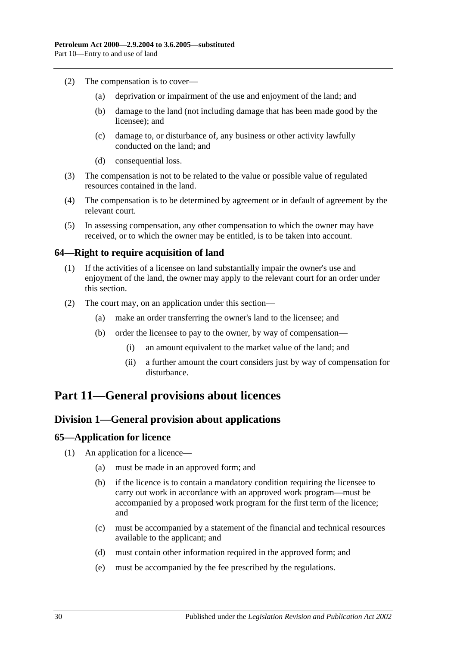- (2) The compensation is to cover—
	- (a) deprivation or impairment of the use and enjoyment of the land; and
	- (b) damage to the land (not including damage that has been made good by the licensee); and
	- (c) damage to, or disturbance of, any business or other activity lawfully conducted on the land; and
	- (d) consequential loss.
- (3) The compensation is not to be related to the value or possible value of regulated resources contained in the land.
- (4) The compensation is to be determined by agreement or in default of agreement by the relevant court.
- (5) In assessing compensation, any other compensation to which the owner may have received, or to which the owner may be entitled, is to be taken into account.

# <span id="page-29-0"></span>**64—Right to require acquisition of land**

- (1) If the activities of a licensee on land substantially impair the owner's use and enjoyment of the land, the owner may apply to the relevant court for an order under this section.
- (2) The court may, on an application under this section—
	- (a) make an order transferring the owner's land to the licensee; and
	- (b) order the licensee to pay to the owner, by way of compensation—
		- (i) an amount equivalent to the market value of the land; and
		- (ii) a further amount the court considers just by way of compensation for disturbance.

# <span id="page-29-2"></span><span id="page-29-1"></span>**Part 11—General provisions about licences**

# **Division 1—General provision about applications**

#### <span id="page-29-3"></span>**65—Application for licence**

- (1) An application for a licence—
	- (a) must be made in an approved form; and
	- (b) if the licence is to contain a mandatory condition requiring the licensee to carry out work in accordance with an approved work program—must be accompanied by a proposed work program for the first term of the licence; and
	- (c) must be accompanied by a statement of the financial and technical resources available to the applicant; and
	- (d) must contain other information required in the approved form; and
	- (e) must be accompanied by the fee prescribed by the regulations.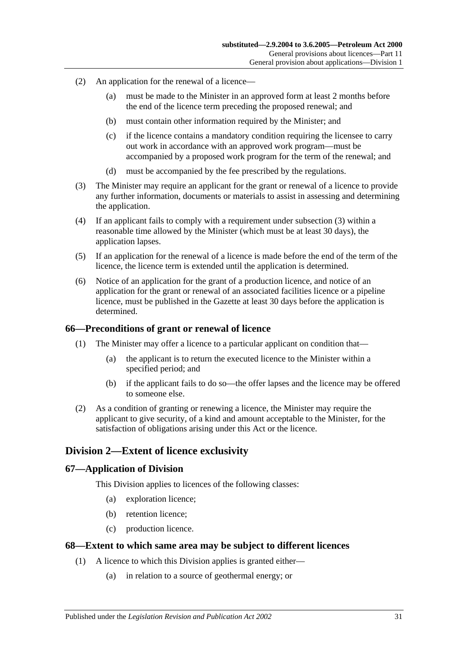- (2) An application for the renewal of a licence—
	- (a) must be made to the Minister in an approved form at least 2 months before the end of the licence term preceding the proposed renewal; and
	- (b) must contain other information required by the Minister; and
	- (c) if the licence contains a mandatory condition requiring the licensee to carry out work in accordance with an approved work program—must be accompanied by a proposed work program for the term of the renewal; and
	- (d) must be accompanied by the fee prescribed by the regulations.
- <span id="page-30-4"></span>(3) The Minister may require an applicant for the grant or renewal of a licence to provide any further information, documents or materials to assist in assessing and determining the application.
- (4) If an applicant fails to comply with a requirement under [subsection](#page-30-4) (3) within a reasonable time allowed by the Minister (which must be at least 30 days), the application lapses.
- (5) If an application for the renewal of a licence is made before the end of the term of the licence, the licence term is extended until the application is determined.
- (6) Notice of an application for the grant of a production licence, and notice of an application for the grant or renewal of an associated facilities licence or a pipeline licence, must be published in the Gazette at least 30 days before the application is determined.

#### <span id="page-30-0"></span>**66—Preconditions of grant or renewal of licence**

- (1) The Minister may offer a licence to a particular applicant on condition that—
	- (a) the applicant is to return the executed licence to the Minister within a specified period; and
	- (b) if the applicant fails to do so—the offer lapses and the licence may be offered to someone else.
- (2) As a condition of granting or renewing a licence, the Minister may require the applicant to give security, of a kind and amount acceptable to the Minister, for the satisfaction of obligations arising under this Act or the licence.

# <span id="page-30-1"></span>**Division 2—Extent of licence exclusivity**

#### <span id="page-30-2"></span>**67—Application of Division**

This Division applies to licences of the following classes:

- (a) exploration licence;
- (b) retention licence;
- (c) production licence.

#### <span id="page-30-3"></span>**68—Extent to which same area may be subject to different licences**

- (1) A licence to which this Division applies is granted either—
	- (a) in relation to a source of geothermal energy; or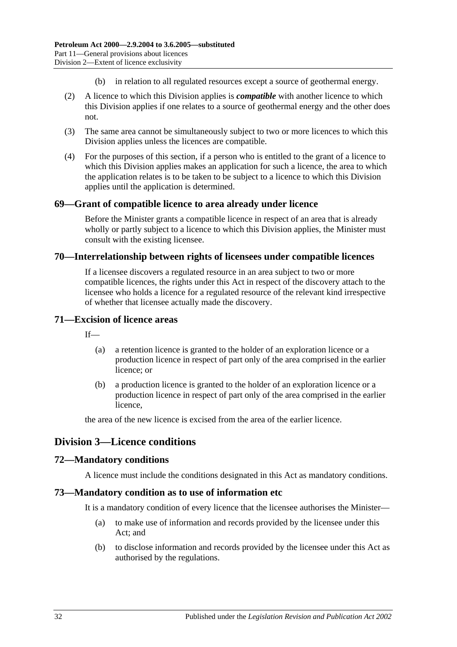- (b) in relation to all regulated resources except a source of geothermal energy.
- (2) A licence to which this Division applies is *compatible* with another licence to which this Division applies if one relates to a source of geothermal energy and the other does not.
- (3) The same area cannot be simultaneously subject to two or more licences to which this Division applies unless the licences are compatible.
- (4) For the purposes of this section, if a person who is entitled to the grant of a licence to which this Division applies makes an application for such a licence, the area to which the application relates is to be taken to be subject to a licence to which this Division applies until the application is determined.

# <span id="page-31-0"></span>**69—Grant of compatible licence to area already under licence**

Before the Minister grants a compatible licence in respect of an area that is already wholly or partly subject to a licence to which this Division applies, the Minister must consult with the existing licensee.

### <span id="page-31-1"></span>**70—Interrelationship between rights of licensees under compatible licences**

If a licensee discovers a regulated resource in an area subject to two or more compatible licences, the rights under this Act in respect of the discovery attach to the licensee who holds a licence for a regulated resource of the relevant kind irrespective of whether that licensee actually made the discovery.

#### <span id="page-31-2"></span>**71—Excision of licence areas**

 $If$ <sub>—</sub>

- (a) a retention licence is granted to the holder of an exploration licence or a production licence in respect of part only of the area comprised in the earlier licence; or
- (b) a production licence is granted to the holder of an exploration licence or a production licence in respect of part only of the area comprised in the earlier licence,

the area of the new licence is excised from the area of the earlier licence.

# <span id="page-31-3"></span>**Division 3—Licence conditions**

# <span id="page-31-4"></span>**72—Mandatory conditions**

A licence must include the conditions designated in this Act as mandatory conditions.

#### <span id="page-31-5"></span>**73—Mandatory condition as to use of information etc**

It is a mandatory condition of every licence that the licensee authorises the Minister—

- (a) to make use of information and records provided by the licensee under this Act; and
- (b) to disclose information and records provided by the licensee under this Act as authorised by the regulations.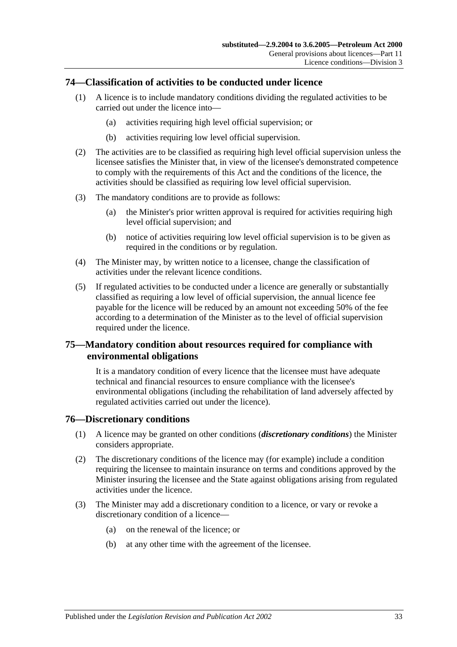# <span id="page-32-0"></span>**74—Classification of activities to be conducted under licence**

- (1) A licence is to include mandatory conditions dividing the regulated activities to be carried out under the licence into—
	- (a) activities requiring high level official supervision; or
	- (b) activities requiring low level official supervision.
- (2) The activities are to be classified as requiring high level official supervision unless the licensee satisfies the Minister that, in view of the licensee's demonstrated competence to comply with the requirements of this Act and the conditions of the licence, the activities should be classified as requiring low level official supervision.
- (3) The mandatory conditions are to provide as follows:
	- (a) the Minister's prior written approval is required for activities requiring high level official supervision; and
	- (b) notice of activities requiring low level official supervision is to be given as required in the conditions or by regulation.
- <span id="page-32-3"></span>(4) The Minister may, by written notice to a licensee, change the classification of activities under the relevant licence conditions.
- (5) If regulated activities to be conducted under a licence are generally or substantially classified as requiring a low level of official supervision, the annual licence fee payable for the licence will be reduced by an amount not exceeding 50% of the fee according to a determination of the Minister as to the level of official supervision required under the licence.

# <span id="page-32-1"></span>**75—Mandatory condition about resources required for compliance with environmental obligations**

It is a mandatory condition of every licence that the licensee must have adequate technical and financial resources to ensure compliance with the licensee's environmental obligations (including the rehabilitation of land adversely affected by regulated activities carried out under the licence).

#### <span id="page-32-2"></span>**76—Discretionary conditions**

- (1) A licence may be granted on other conditions (*discretionary conditions*) the Minister considers appropriate.
- (2) The discretionary conditions of the licence may (for example) include a condition requiring the licensee to maintain insurance on terms and conditions approved by the Minister insuring the licensee and the State against obligations arising from regulated activities under the licence.
- (3) The Minister may add a discretionary condition to a licence, or vary or revoke a discretionary condition of a licence—
	- (a) on the renewal of the licence; or
	- (b) at any other time with the agreement of the licensee.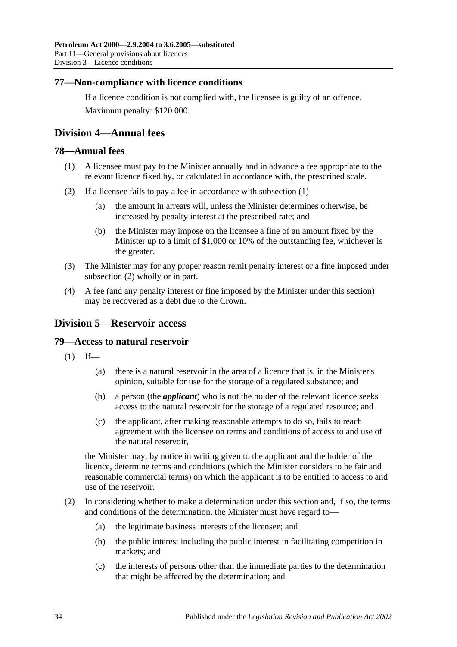# <span id="page-33-0"></span>**77—Non-compliance with licence conditions**

If a licence condition is not complied with, the licensee is guilty of an offence. Maximum penalty: \$120 000.

# <span id="page-33-1"></span>**Division 4—Annual fees**

### <span id="page-33-5"></span><span id="page-33-2"></span>**78—Annual fees**

- (1) A licensee must pay to the Minister annually and in advance a fee appropriate to the relevant licence fixed by, or calculated in accordance with, the prescribed scale.
- <span id="page-33-6"></span>(2) If a licensee fails to pay a fee in accordance with [subsection](#page-33-5) (1)—
	- (a) the amount in arrears will, unless the Minister determines otherwise, be increased by penalty interest at the prescribed rate; and
	- (b) the Minister may impose on the licensee a fine of an amount fixed by the Minister up to a limit of \$1,000 or 10% of the outstanding fee, whichever is the greater.
- (3) The Minister may for any proper reason remit penalty interest or a fine imposed under [subsection](#page-33-6) (2) wholly or in part.
- (4) A fee (and any penalty interest or fine imposed by the Minister under this section) may be recovered as a debt due to the Crown.

# <span id="page-33-3"></span>**Division 5—Reservoir access**

#### <span id="page-33-4"></span>**79—Access to natural reservoir**

- $(1)$  If—
	- (a) there is a natural reservoir in the area of a licence that is, in the Minister's opinion, suitable for use for the storage of a regulated substance; and
	- (b) a person (the *applicant*) who is not the holder of the relevant licence seeks access to the natural reservoir for the storage of a regulated resource; and
	- (c) the applicant, after making reasonable attempts to do so, fails to reach agreement with the licensee on terms and conditions of access to and use of the natural reservoir,

the Minister may, by notice in writing given to the applicant and the holder of the licence, determine terms and conditions (which the Minister considers to be fair and reasonable commercial terms) on which the applicant is to be entitled to access to and use of the reservoir.

- (2) In considering whether to make a determination under this section and, if so, the terms and conditions of the determination, the Minister must have regard to—
	- (a) the legitimate business interests of the licensee; and
	- (b) the public interest including the public interest in facilitating competition in markets; and
	- (c) the interests of persons other than the immediate parties to the determination that might be affected by the determination; and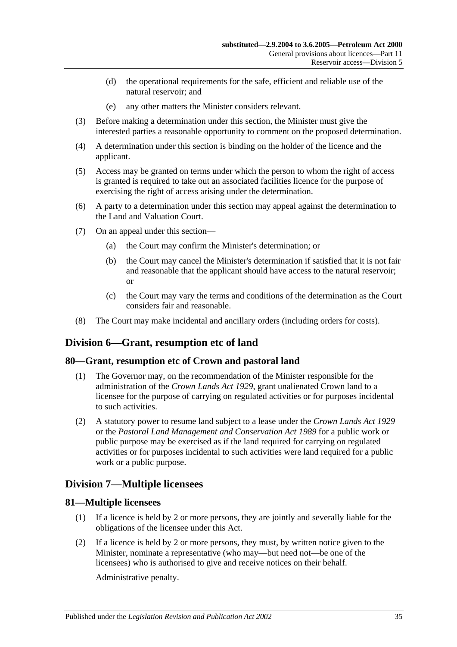- (d) the operational requirements for the safe, efficient and reliable use of the natural reservoir; and
- (e) any other matters the Minister considers relevant.
- (3) Before making a determination under this section, the Minister must give the interested parties a reasonable opportunity to comment on the proposed determination.
- (4) A determination under this section is binding on the holder of the licence and the applicant.
- (5) Access may be granted on terms under which the person to whom the right of access is granted is required to take out an associated facilities licence for the purpose of exercising the right of access arising under the determination.
- (6) A party to a determination under this section may appeal against the determination to the Land and Valuation Court.
- (7) On an appeal under this section—
	- (a) the Court may confirm the Minister's determination; or
	- (b) the Court may cancel the Minister's determination if satisfied that it is not fair and reasonable that the applicant should have access to the natural reservoir; or
	- (c) the Court may vary the terms and conditions of the determination as the Court considers fair and reasonable.
- (8) The Court may make incidental and ancillary orders (including orders for costs).

# <span id="page-34-0"></span>**Division 6—Grant, resumption etc of land**

#### <span id="page-34-1"></span>**80—Grant, resumption etc of Crown and pastoral land**

- (1) The Governor may, on the recommendation of the Minister responsible for the administration of the *[Crown Lands Act](http://www.legislation.sa.gov.au/index.aspx?action=legref&type=act&legtitle=Crown%20Lands%20Act%201929) 1929*, grant unalienated Crown land to a licensee for the purpose of carrying on regulated activities or for purposes incidental to such activities.
- (2) A statutory power to resume land subject to a lease under the *[Crown Lands Act](http://www.legislation.sa.gov.au/index.aspx?action=legref&type=act&legtitle=Crown%20Lands%20Act%201929) 1929* or the *[Pastoral Land Management and Conservation Act](http://www.legislation.sa.gov.au/index.aspx?action=legref&type=act&legtitle=Pastoral%20Land%20Management%20and%20Conservation%20Act%201989) 1989* for a public work or public purpose may be exercised as if the land required for carrying on regulated activities or for purposes incidental to such activities were land required for a public work or a public purpose.

# <span id="page-34-2"></span>**Division 7—Multiple licensees**

# <span id="page-34-3"></span>**81—Multiple licensees**

- (1) If a licence is held by 2 or more persons, they are jointly and severally liable for the obligations of the licensee under this Act.
- (2) If a licence is held by 2 or more persons, they must, by written notice given to the Minister, nominate a representative (who may—but need not—be one of the licensees) who is authorised to give and receive notices on their behalf.

Administrative penalty.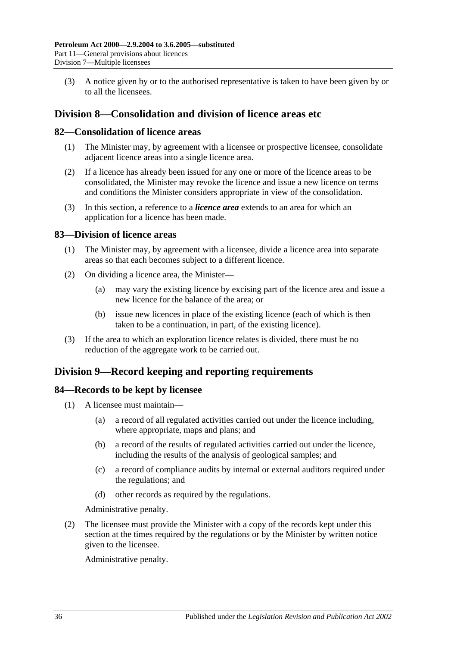(3) A notice given by or to the authorised representative is taken to have been given by or to all the licensees.

# <span id="page-35-0"></span>**Division 8—Consolidation and division of licence areas etc**

### <span id="page-35-1"></span>**82—Consolidation of licence areas**

- (1) The Minister may, by agreement with a licensee or prospective licensee, consolidate adjacent licence areas into a single licence area.
- (2) If a licence has already been issued for any one or more of the licence areas to be consolidated, the Minister may revoke the licence and issue a new licence on terms and conditions the Minister considers appropriate in view of the consolidation.
- (3) In this section, a reference to a *licence area* extends to an area for which an application for a licence has been made.

### <span id="page-35-2"></span>**83—Division of licence areas**

- (1) The Minister may, by agreement with a licensee, divide a licence area into separate areas so that each becomes subject to a different licence.
- (2) On dividing a licence area, the Minister—
	- (a) may vary the existing licence by excising part of the licence area and issue a new licence for the balance of the area; or
	- (b) issue new licences in place of the existing licence (each of which is then taken to be a continuation, in part, of the existing licence).
- (3) If the area to which an exploration licence relates is divided, there must be no reduction of the aggregate work to be carried out.

# <span id="page-35-3"></span>**Division 9—Record keeping and reporting requirements**

#### <span id="page-35-4"></span>**84—Records to be kept by licensee**

- (1) A licensee must maintain—
	- (a) a record of all regulated activities carried out under the licence including, where appropriate, maps and plans; and
	- (b) a record of the results of regulated activities carried out under the licence, including the results of the analysis of geological samples; and
	- (c) a record of compliance audits by internal or external auditors required under the regulations; and
	- (d) other records as required by the regulations.

Administrative penalty.

(2) The licensee must provide the Minister with a copy of the records kept under this section at the times required by the regulations or by the Minister by written notice given to the licensee.

Administrative penalty.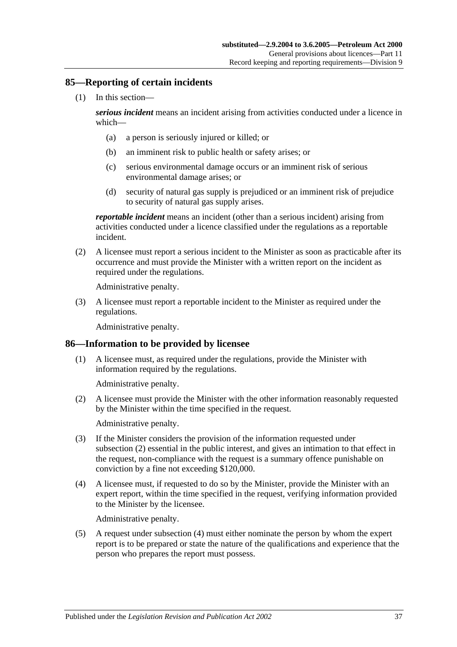### <span id="page-36-0"></span>**85—Reporting of certain incidents**

(1) In this section—

*serious incident* means an incident arising from activities conducted under a licence in which—

- (a) a person is seriously injured or killed; or
- (b) an imminent risk to public health or safety arises; or
- (c) serious environmental damage occurs or an imminent risk of serious environmental damage arises; or
- (d) security of natural gas supply is prejudiced or an imminent risk of prejudice to security of natural gas supply arises.

*reportable incident* means an incident (other than a serious incident) arising from activities conducted under a licence classified under the regulations as a reportable incident.

(2) A licensee must report a serious incident to the Minister as soon as practicable after its occurrence and must provide the Minister with a written report on the incident as required under the regulations.

Administrative penalty.

(3) A licensee must report a reportable incident to the Minister as required under the regulations.

Administrative penalty.

# <span id="page-36-1"></span>**86—Information to be provided by licensee**

(1) A licensee must, as required under the regulations, provide the Minister with information required by the regulations.

Administrative penalty.

<span id="page-36-2"></span>(2) A licensee must provide the Minister with the other information reasonably requested by the Minister within the time specified in the request.

Administrative penalty.

- (3) If the Minister considers the provision of the information requested under [subsection](#page-36-2) (2) essential in the public interest, and gives an intimation to that effect in the request, non-compliance with the request is a summary offence punishable on conviction by a fine not exceeding \$120,000.
- <span id="page-36-3"></span>(4) A licensee must, if requested to do so by the Minister, provide the Minister with an expert report, within the time specified in the request, verifying information provided to the Minister by the licensee.

Administrative penalty.

(5) A request under [subsection](#page-36-3) (4) must either nominate the person by whom the expert report is to be prepared or state the nature of the qualifications and experience that the person who prepares the report must possess.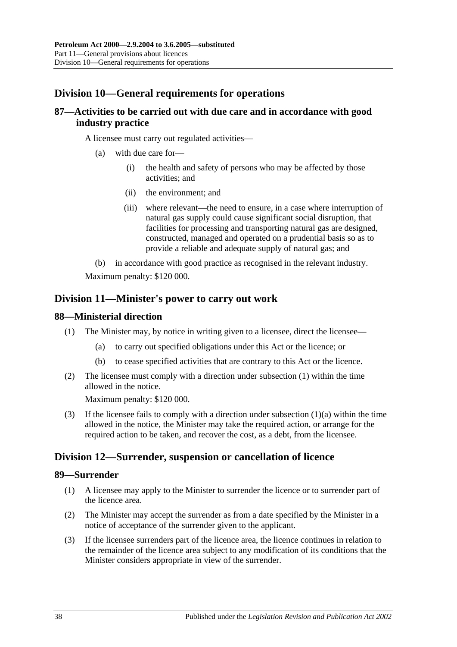# <span id="page-37-0"></span>**Division 10—General requirements for operations**

# <span id="page-37-1"></span>**87—Activities to be carried out with due care and in accordance with good industry practice**

A licensee must carry out regulated activities—

- (a) with due care for—
	- (i) the health and safety of persons who may be affected by those activities; and
	- (ii) the environment; and
	- (iii) where relevant—the need to ensure, in a case where interruption of natural gas supply could cause significant social disruption, that facilities for processing and transporting natural gas are designed, constructed, managed and operated on a prudential basis so as to provide a reliable and adequate supply of natural gas; and
- (b) in accordance with good practice as recognised in the relevant industry.

Maximum penalty: \$120 000.

# <span id="page-37-2"></span>**Division 11—Minister's power to carry out work**

### <span id="page-37-6"></span><span id="page-37-3"></span>**88—Ministerial direction**

- <span id="page-37-7"></span>(1) The Minister may, by notice in writing given to a licensee, direct the licensee—
	- (a) to carry out specified obligations under this Act or the licence; or
	- (b) to cease specified activities that are contrary to this Act or the licence.
- (2) The licensee must comply with a direction under [subsection](#page-37-6) (1) within the time allowed in the notice.

Maximum penalty: \$120 000.

(3) If the licensee fails to comply with a direction under [subsection](#page-37-7)  $(1)(a)$  within the time allowed in the notice, the Minister may take the required action, or arrange for the required action to be taken, and recover the cost, as a debt, from the licensee.

# <span id="page-37-4"></span>**Division 12—Surrender, suspension or cancellation of licence**

#### <span id="page-37-5"></span>**89—Surrender**

- (1) A licensee may apply to the Minister to surrender the licence or to surrender part of the licence area.
- (2) The Minister may accept the surrender as from a date specified by the Minister in a notice of acceptance of the surrender given to the applicant.
- (3) If the licensee surrenders part of the licence area, the licence continues in relation to the remainder of the licence area subject to any modification of its conditions that the Minister considers appropriate in view of the surrender.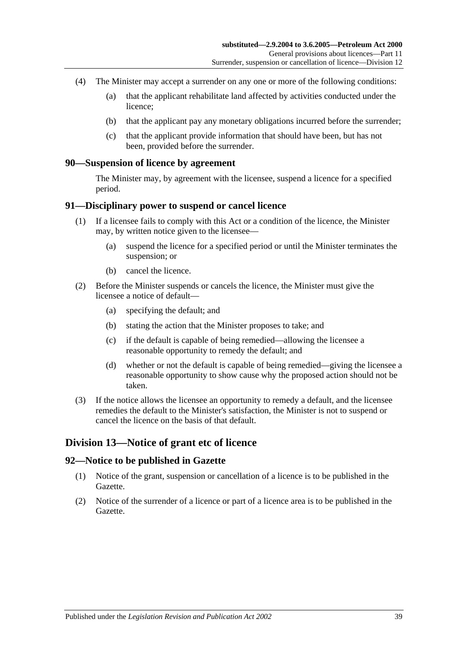- (4) The Minister may accept a surrender on any one or more of the following conditions:
	- (a) that the applicant rehabilitate land affected by activities conducted under the licence;
	- (b) that the applicant pay any monetary obligations incurred before the surrender;
	- (c) that the applicant provide information that should have been, but has not been, provided before the surrender.

#### <span id="page-38-0"></span>**90—Suspension of licence by agreement**

The Minister may, by agreement with the licensee, suspend a licence for a specified period.

#### <span id="page-38-1"></span>**91—Disciplinary power to suspend or cancel licence**

- (1) If a licensee fails to comply with this Act or a condition of the licence, the Minister may, by written notice given to the licensee—
	- (a) suspend the licence for a specified period or until the Minister terminates the suspension; or
	- (b) cancel the licence.
- (2) Before the Minister suspends or cancels the licence, the Minister must give the licensee a notice of default—
	- (a) specifying the default; and
	- (b) stating the action that the Minister proposes to take; and
	- (c) if the default is capable of being remedied—allowing the licensee a reasonable opportunity to remedy the default; and
	- (d) whether or not the default is capable of being remedied—giving the licensee a reasonable opportunity to show cause why the proposed action should not be taken.
- (3) If the notice allows the licensee an opportunity to remedy a default, and the licensee remedies the default to the Minister's satisfaction, the Minister is not to suspend or cancel the licence on the basis of that default.

# <span id="page-38-2"></span>**Division 13—Notice of grant etc of licence**

#### <span id="page-38-3"></span>**92—Notice to be published in Gazette**

- (1) Notice of the grant, suspension or cancellation of a licence is to be published in the Gazette.
- (2) Notice of the surrender of a licence or part of a licence area is to be published in the Gazette.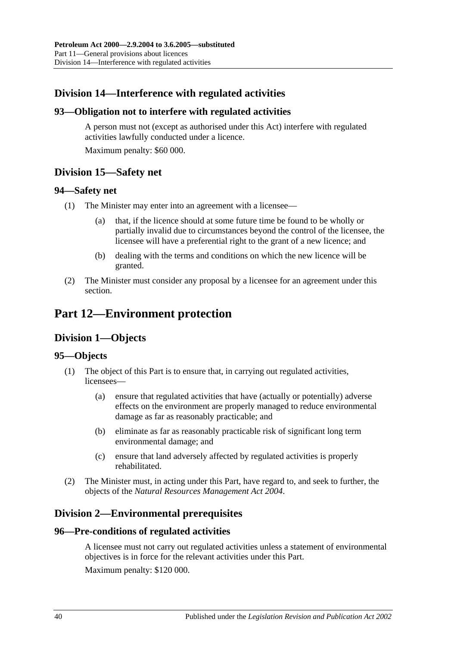# <span id="page-39-0"></span>**Division 14—Interference with regulated activities**

# <span id="page-39-1"></span>**93—Obligation not to interfere with regulated activities**

A person must not (except as authorised under this Act) interfere with regulated activities lawfully conducted under a licence.

Maximum penalty: \$60 000.

# <span id="page-39-2"></span>**Division 15—Safety net**

# <span id="page-39-3"></span>**94—Safety net**

- (1) The Minister may enter into an agreement with a licensee—
	- (a) that, if the licence should at some future time be found to be wholly or partially invalid due to circumstances beyond the control of the licensee, the licensee will have a preferential right to the grant of a new licence; and
	- (b) dealing with the terms and conditions on which the new licence will be granted.
- (2) The Minister must consider any proposal by a licensee for an agreement under this section.

# <span id="page-39-5"></span><span id="page-39-4"></span>**Part 12—Environment protection**

# **Division 1—Objects**

# <span id="page-39-6"></span>**95—Objects**

- (1) The object of this Part is to ensure that, in carrying out regulated activities, licensees—
	- (a) ensure that regulated activities that have (actually or potentially) adverse effects on the environment are properly managed to reduce environmental damage as far as reasonably practicable; and
	- (b) eliminate as far as reasonably practicable risk of significant long term environmental damage; and
	- (c) ensure that land adversely affected by regulated activities is properly rehabilitated.
- (2) The Minister must, in acting under this Part, have regard to, and seek to further, the objects of the *[Natural Resources Management Act 2004](http://www.legislation.sa.gov.au/index.aspx?action=legref&type=act&legtitle=Natural%20Resources%20Management%20Act%202004)*.

# <span id="page-39-7"></span>**Division 2—Environmental prerequisites**

# <span id="page-39-8"></span>**96—Pre-conditions of regulated activities**

A licensee must not carry out regulated activities unless a statement of environmental objectives is in force for the relevant activities under this Part. Maximum penalty: \$120 000.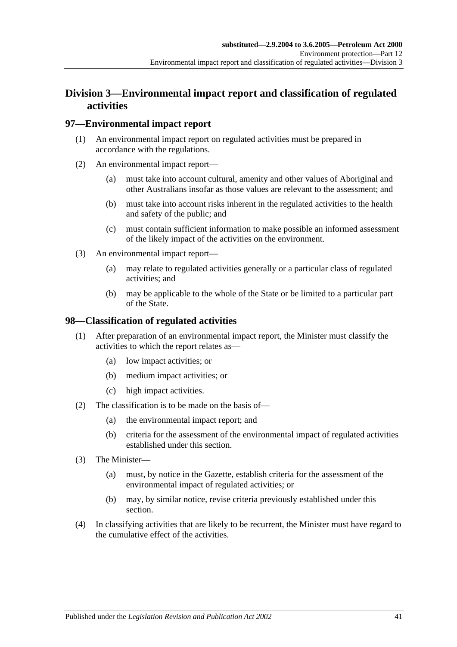# <span id="page-40-0"></span>**Division 3—Environmental impact report and classification of regulated activities**

# <span id="page-40-1"></span>**97—Environmental impact report**

- (1) An environmental impact report on regulated activities must be prepared in accordance with the regulations.
- (2) An environmental impact report—
	- (a) must take into account cultural, amenity and other values of Aboriginal and other Australians insofar as those values are relevant to the assessment; and
	- (b) must take into account risks inherent in the regulated activities to the health and safety of the public; and
	- (c) must contain sufficient information to make possible an informed assessment of the likely impact of the activities on the environment.
- (3) An environmental impact report—
	- (a) may relate to regulated activities generally or a particular class of regulated activities; and
	- (b) may be applicable to the whole of the State or be limited to a particular part of the State.

# <span id="page-40-2"></span>**98—Classification of regulated activities**

- (1) After preparation of an environmental impact report, the Minister must classify the activities to which the report relates as—
	- (a) low impact activities; or
	- (b) medium impact activities; or
	- (c) high impact activities.
- (2) The classification is to be made on the basis of—
	- (a) the environmental impact report; and
	- (b) criteria for the assessment of the environmental impact of regulated activities established under this section.
- (3) The Minister—
	- (a) must, by notice in the Gazette, establish criteria for the assessment of the environmental impact of regulated activities; or
	- (b) may, by similar notice, revise criteria previously established under this section.
- (4) In classifying activities that are likely to be recurrent, the Minister must have regard to the cumulative effect of the activities.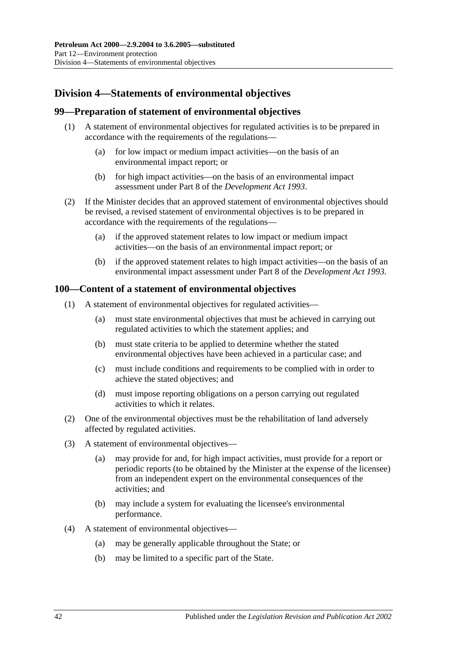# <span id="page-41-0"></span>**Division 4—Statements of environmental objectives**

### <span id="page-41-1"></span>**99—Preparation of statement of environmental objectives**

- (1) A statement of environmental objectives for regulated activities is to be prepared in accordance with the requirements of the regulations—
	- (a) for low impact or medium impact activities—on the basis of an environmental impact report; or
	- (b) for high impact activities—on the basis of an environmental impact assessment under Part 8 of the *[Development Act](http://www.legislation.sa.gov.au/index.aspx?action=legref&type=act&legtitle=Development%20Act%201993) 1993*.
- (2) If the Minister decides that an approved statement of environmental objectives should be revised, a revised statement of environmental objectives is to be prepared in accordance with the requirements of the regulations—
	- (a) if the approved statement relates to low impact or medium impact activities—on the basis of an environmental impact report; or
	- (b) if the approved statement relates to high impact activities—on the basis of an environmental impact assessment under Part 8 of the *[Development Act](http://www.legislation.sa.gov.au/index.aspx?action=legref&type=act&legtitle=Development%20Act%201993) 1993*.

### <span id="page-41-2"></span>**100—Content of a statement of environmental objectives**

- (1) A statement of environmental objectives for regulated activities—
	- (a) must state environmental objectives that must be achieved in carrying out regulated activities to which the statement applies; and
	- (b) must state criteria to be applied to determine whether the stated environmental objectives have been achieved in a particular case; and
	- (c) must include conditions and requirements to be complied with in order to achieve the stated objectives; and
	- (d) must impose reporting obligations on a person carrying out regulated activities to which it relates.
- (2) One of the environmental objectives must be the rehabilitation of land adversely affected by regulated activities.
- (3) A statement of environmental objectives—
	- (a) may provide for and, for high impact activities, must provide for a report or periodic reports (to be obtained by the Minister at the expense of the licensee) from an independent expert on the environmental consequences of the activities; and
	- (b) may include a system for evaluating the licensee's environmental performance.
- (4) A statement of environmental objectives—
	- (a) may be generally applicable throughout the State; or
	- (b) may be limited to a specific part of the State.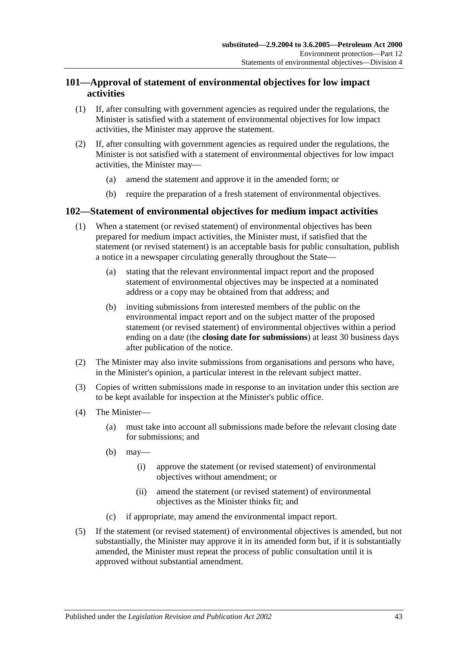# <span id="page-42-0"></span>**101—Approval of statement of environmental objectives for low impact activities**

- (1) If, after consulting with government agencies as required under the regulations, the Minister is satisfied with a statement of environmental objectives for low impact activities, the Minister may approve the statement.
- (2) If, after consulting with government agencies as required under the regulations, the Minister is not satisfied with a statement of environmental objectives for low impact activities, the Minister may—
	- (a) amend the statement and approve it in the amended form; or
	- (b) require the preparation of a fresh statement of environmental objectives.

# <span id="page-42-1"></span>**102—Statement of environmental objectives for medium impact activities**

- (1) When a statement (or revised statement) of environmental objectives has been prepared for medium impact activities, the Minister must, if satisfied that the statement (or revised statement) is an acceptable basis for public consultation, publish a notice in a newspaper circulating generally throughout the State—
	- (a) stating that the relevant environmental impact report and the proposed statement of environmental objectives may be inspected at a nominated address or a copy may be obtained from that address; and
	- (b) inviting submissions from interested members of the public on the environmental impact report and on the subject matter of the proposed statement (or revised statement) of environmental objectives within a period ending on a date (the **closing date for submissions**) at least 30 business days after publication of the notice.
- (2) The Minister may also invite submissions from organisations and persons who have, in the Minister's opinion, a particular interest in the relevant subject matter.
- (3) Copies of written submissions made in response to an invitation under this section are to be kept available for inspection at the Minister's public office.
- (4) The Minister—
	- (a) must take into account all submissions made before the relevant closing date for submissions; and
	- (b) may—
		- (i) approve the statement (or revised statement) of environmental objectives without amendment; or
		- (ii) amend the statement (or revised statement) of environmental objectives as the Minister thinks fit; and
	- (c) if appropriate, may amend the environmental impact report.
- (5) If the statement (or revised statement) of environmental objectives is amended, but not substantially, the Minister may approve it in its amended form but, if it is substantially amended, the Minister must repeat the process of public consultation until it is approved without substantial amendment.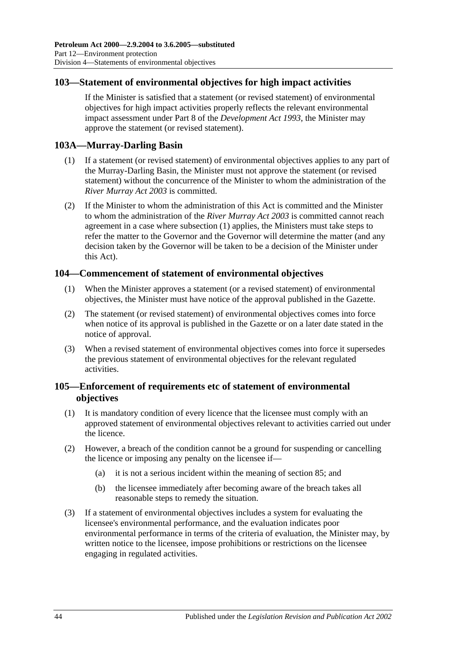# <span id="page-43-0"></span>**103—Statement of environmental objectives for high impact activities**

If the Minister is satisfied that a statement (or revised statement) of environmental objectives for high impact activities properly reflects the relevant environmental impact assessment under Part 8 of the *[Development Act](http://www.legislation.sa.gov.au/index.aspx?action=legref&type=act&legtitle=Development%20Act%201993) 1993*, the Minister may approve the statement (or revised statement).

# <span id="page-43-4"></span><span id="page-43-1"></span>**103A—Murray-Darling Basin**

- (1) If a statement (or revised statement) of environmental objectives applies to any part of the Murray-Darling Basin, the Minister must not approve the statement (or revised statement) without the concurrence of the Minister to whom the administration of the *[River Murray Act](http://www.legislation.sa.gov.au/index.aspx?action=legref&type=act&legtitle=River%20Murray%20Act%202003) 2003* is committed.
- (2) If the Minister to whom the administration of this Act is committed and the Minister to whom the administration of the *[River Murray Act](http://www.legislation.sa.gov.au/index.aspx?action=legref&type=act&legtitle=River%20Murray%20Act%202003) 2003* is committed cannot reach agreement in a case where [subsection](#page-43-4) (1) applies, the Ministers must take steps to refer the matter to the Governor and the Governor will determine the matter (and any decision taken by the Governor will be taken to be a decision of the Minister under this Act).

# <span id="page-43-2"></span>**104—Commencement of statement of environmental objectives**

- (1) When the Minister approves a statement (or a revised statement) of environmental objectives, the Minister must have notice of the approval published in the Gazette.
- (2) The statement (or revised statement) of environmental objectives comes into force when notice of its approval is published in the Gazette or on a later date stated in the notice of approval.
- (3) When a revised statement of environmental objectives comes into force it supersedes the previous statement of environmental objectives for the relevant regulated activities.

# <span id="page-43-3"></span>**105—Enforcement of requirements etc of statement of environmental objectives**

- (1) It is mandatory condition of every licence that the licensee must comply with an approved statement of environmental objectives relevant to activities carried out under the licence.
- <span id="page-43-5"></span>(2) However, a breach of the condition cannot be a ground for suspending or cancelling the licence or imposing any penalty on the licensee if—
	- (a) it is not a serious incident within the meaning of [section](#page-36-0) 85; and
	- (b) the licensee immediately after becoming aware of the breach takes all reasonable steps to remedy the situation.
- (3) If a statement of environmental objectives includes a system for evaluating the licensee's environmental performance, and the evaluation indicates poor environmental performance in terms of the criteria of evaluation, the Minister may, by written notice to the licensee, impose prohibitions or restrictions on the licensee engaging in regulated activities.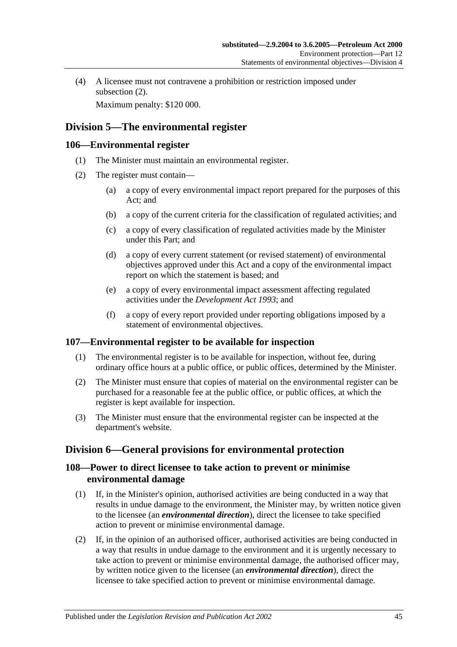(4) A licensee must not contravene a prohibition or restriction imposed under [subsection](#page-43-5)  $(2)$ .

Maximum penalty: \$120 000.

# <span id="page-44-0"></span>**Division 5—The environmental register**

# <span id="page-44-1"></span>**106—Environmental register**

- (1) The Minister must maintain an environmental register.
- (2) The register must contain—
	- (a) a copy of every environmental impact report prepared for the purposes of this Act; and
	- (b) a copy of the current criteria for the classification of regulated activities; and
	- (c) a copy of every classification of regulated activities made by the Minister under this Part; and
	- (d) a copy of every current statement (or revised statement) of environmental objectives approved under this Act and a copy of the environmental impact report on which the statement is based; and
	- (e) a copy of every environmental impact assessment affecting regulated activities under the *[Development Act](http://www.legislation.sa.gov.au/index.aspx?action=legref&type=act&legtitle=Development%20Act%201993) 1993*; and
	- (f) a copy of every report provided under reporting obligations imposed by a statement of environmental objectives.

# <span id="page-44-2"></span>**107—Environmental register to be available for inspection**

- (1) The environmental register is to be available for inspection, without fee, during ordinary office hours at a public office, or public offices, determined by the Minister.
- (2) The Minister must ensure that copies of material on the environmental register can be purchased for a reasonable fee at the public office, or public offices, at which the register is kept available for inspection.
- (3) The Minister must ensure that the environmental register can be inspected at the department's website.

# <span id="page-44-3"></span>**Division 6—General provisions for environmental protection**

# <span id="page-44-4"></span>**108—Power to direct licensee to take action to prevent or minimise environmental damage**

- (1) If, in the Minister's opinion, authorised activities are being conducted in a way that results in undue damage to the environment, the Minister may, by written notice given to the licensee (an *environmental direction*), direct the licensee to take specified action to prevent or minimise environmental damage.
- (2) If, in the opinion of an authorised officer, authorised activities are being conducted in a way that results in undue damage to the environment and it is urgently necessary to take action to prevent or minimise environmental damage, the authorised officer may, by written notice given to the licensee (an *environmental direction*), direct the licensee to take specified action to prevent or minimise environmental damage.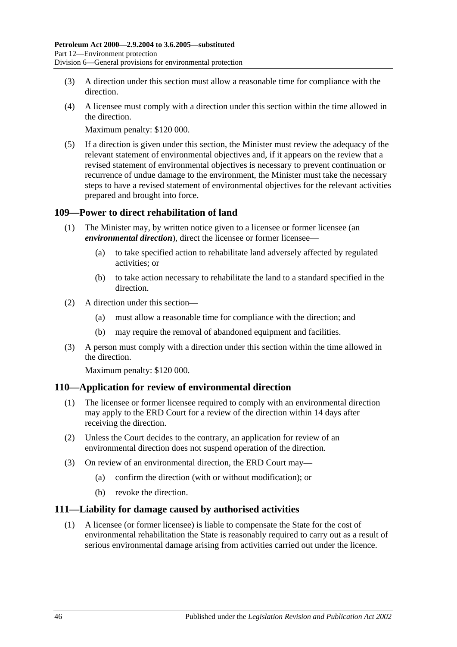- (3) A direction under this section must allow a reasonable time for compliance with the direction.
- (4) A licensee must comply with a direction under this section within the time allowed in the direction.

Maximum penalty: \$120 000.

(5) If a direction is given under this section, the Minister must review the adequacy of the relevant statement of environmental objectives and, if it appears on the review that a revised statement of environmental objectives is necessary to prevent continuation or recurrence of undue damage to the environment, the Minister must take the necessary steps to have a revised statement of environmental objectives for the relevant activities prepared and brought into force.

# <span id="page-45-0"></span>**109—Power to direct rehabilitation of land**

- (1) The Minister may, by written notice given to a licensee or former licensee (an *environmental direction*), direct the licensee or former licensee—
	- (a) to take specified action to rehabilitate land adversely affected by regulated activities; or
	- (b) to take action necessary to rehabilitate the land to a standard specified in the direction.
- (2) A direction under this section—
	- (a) must allow a reasonable time for compliance with the direction; and
	- (b) may require the removal of abandoned equipment and facilities.
- (3) A person must comply with a direction under this section within the time allowed in the direction.

Maximum penalty: \$120 000.

# <span id="page-45-1"></span>**110—Application for review of environmental direction**

- (1) The licensee or former licensee required to comply with an environmental direction may apply to the ERD Court for a review of the direction within 14 days after receiving the direction.
- (2) Unless the Court decides to the contrary, an application for review of an environmental direction does not suspend operation of the direction.
- (3) On review of an environmental direction, the ERD Court may—
	- (a) confirm the direction (with or without modification); or
	- (b) revoke the direction.

# <span id="page-45-2"></span>**111—Liability for damage caused by authorised activities**

(1) A licensee (or former licensee) is liable to compensate the State for the cost of environmental rehabilitation the State is reasonably required to carry out as a result of serious environmental damage arising from activities carried out under the licence.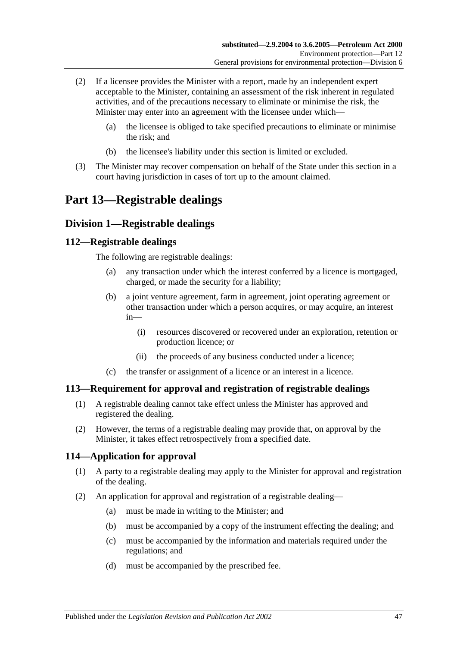- (2) If a licensee provides the Minister with a report, made by an independent expert acceptable to the Minister, containing an assessment of the risk inherent in regulated activities, and of the precautions necessary to eliminate or minimise the risk, the Minister may enter into an agreement with the licensee under which—
	- (a) the licensee is obliged to take specified precautions to eliminate or minimise the risk; and
	- (b) the licensee's liability under this section is limited or excluded.
- (3) The Minister may recover compensation on behalf of the State under this section in a court having jurisdiction in cases of tort up to the amount claimed.

# <span id="page-46-0"></span>**Part 13—Registrable dealings**

# <span id="page-46-1"></span>**Division 1—Registrable dealings**

# <span id="page-46-2"></span>**112—Registrable dealings**

The following are registrable dealings:

- (a) any transaction under which the interest conferred by a licence is mortgaged, charged, or made the security for a liability;
- (b) a joint venture agreement, farm in agreement, joint operating agreement or other transaction under which a person acquires, or may acquire, an interest in—
	- (i) resources discovered or recovered under an exploration, retention or production licence; or
	- (ii) the proceeds of any business conducted under a licence;
- (c) the transfer or assignment of a licence or an interest in a licence.

#### <span id="page-46-3"></span>**113—Requirement for approval and registration of registrable dealings**

- (1) A registrable dealing cannot take effect unless the Minister has approved and registered the dealing.
- (2) However, the terms of a registrable dealing may provide that, on approval by the Minister, it takes effect retrospectively from a specified date.

# <span id="page-46-4"></span>**114—Application for approval**

- (1) A party to a registrable dealing may apply to the Minister for approval and registration of the dealing.
- (2) An application for approval and registration of a registrable dealing—
	- (a) must be made in writing to the Minister; and
	- (b) must be accompanied by a copy of the instrument effecting the dealing; and
	- (c) must be accompanied by the information and materials required under the regulations; and
	- (d) must be accompanied by the prescribed fee.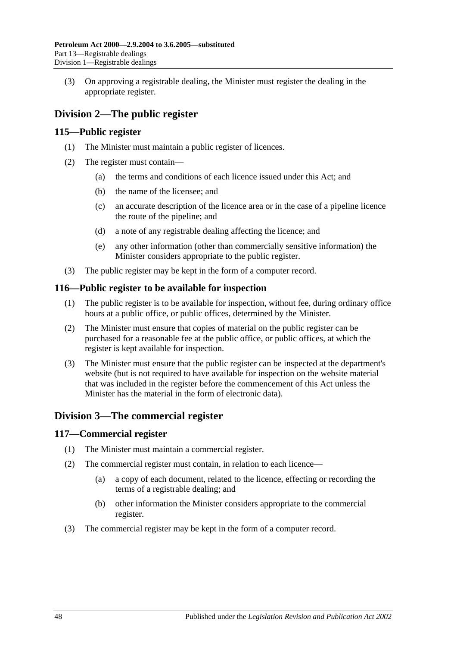(3) On approving a registrable dealing, the Minister must register the dealing in the appropriate register.

# <span id="page-47-0"></span>**Division 2—The public register**

# <span id="page-47-1"></span>**115—Public register**

- (1) The Minister must maintain a public register of licences.
- (2) The register must contain—
	- (a) the terms and conditions of each licence issued under this Act; and
	- (b) the name of the licensee; and
	- (c) an accurate description of the licence area or in the case of a pipeline licence the route of the pipeline; and
	- (d) a note of any registrable dealing affecting the licence; and
	- (e) any other information (other than commercially sensitive information) the Minister considers appropriate to the public register.
- (3) The public register may be kept in the form of a computer record.

# <span id="page-47-2"></span>**116—Public register to be available for inspection**

- (1) The public register is to be available for inspection, without fee, during ordinary office hours at a public office, or public offices, determined by the Minister.
- (2) The Minister must ensure that copies of material on the public register can be purchased for a reasonable fee at the public office, or public offices, at which the register is kept available for inspection.
- (3) The Minister must ensure that the public register can be inspected at the department's website (but is not required to have available for inspection on the website material that was included in the register before the commencement of this Act unless the Minister has the material in the form of electronic data).

# <span id="page-47-3"></span>**Division 3—The commercial register**

# <span id="page-47-4"></span>**117—Commercial register**

- (1) The Minister must maintain a commercial register.
- (2) The commercial register must contain, in relation to each licence—
	- (a) a copy of each document, related to the licence, effecting or recording the terms of a registrable dealing; and
	- (b) other information the Minister considers appropriate to the commercial register.
- (3) The commercial register may be kept in the form of a computer record.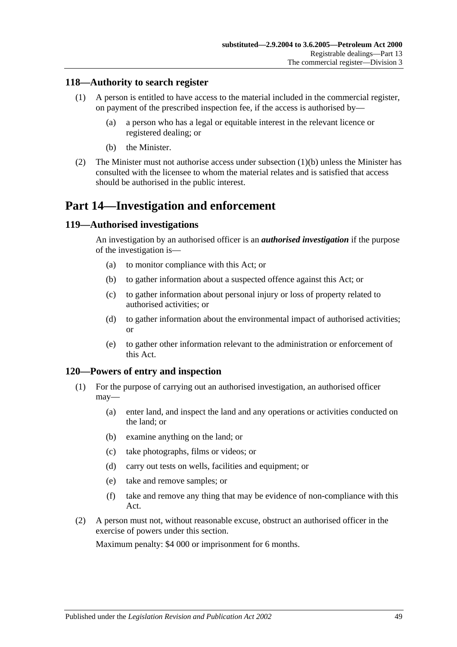# <span id="page-48-0"></span>**118—Authority to search register**

- (1) A person is entitled to have access to the material included in the commercial register, on payment of the prescribed inspection fee, if the access is authorised by—
	- (a) a person who has a legal or equitable interest in the relevant licence or registered dealing; or
	- (b) the Minister.
- <span id="page-48-4"></span>(2) The Minister must not authorise access under [subsection](#page-48-4) (1)(b) unless the Minister has consulted with the licensee to whom the material relates and is satisfied that access should be authorised in the public interest.

# <span id="page-48-1"></span>**Part 14—Investigation and enforcement**

#### <span id="page-48-2"></span>**119—Authorised investigations**

An investigation by an authorised officer is an *authorised investigation* if the purpose of the investigation is—

- (a) to monitor compliance with this Act; or
- (b) to gather information about a suspected offence against this Act; or
- (c) to gather information about personal injury or loss of property related to authorised activities; or
- (d) to gather information about the environmental impact of authorised activities; or
- (e) to gather other information relevant to the administration or enforcement of this Act.

#### <span id="page-48-3"></span>**120—Powers of entry and inspection**

- (1) For the purpose of carrying out an authorised investigation, an authorised officer may—
	- (a) enter land, and inspect the land and any operations or activities conducted on the land; or
	- (b) examine anything on the land; or
	- (c) take photographs, films or videos; or
	- (d) carry out tests on wells, facilities and equipment; or
	- (e) take and remove samples; or
	- (f) take and remove any thing that may be evidence of non-compliance with this Act.
- (2) A person must not, without reasonable excuse, obstruct an authorised officer in the exercise of powers under this section.

Maximum penalty: \$4 000 or imprisonment for 6 months.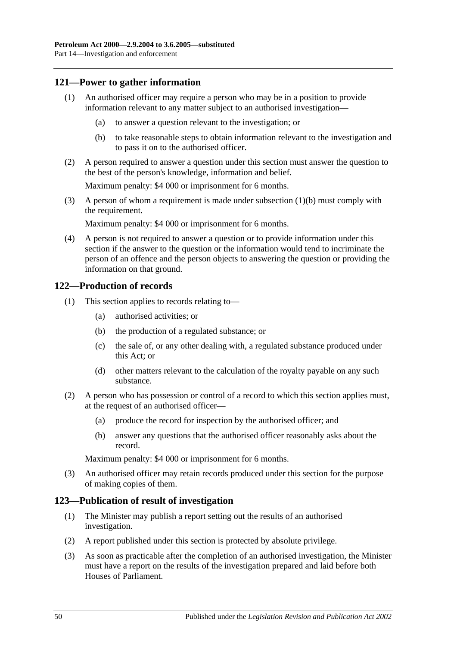# <span id="page-49-0"></span>**121—Power to gather information**

- (1) An authorised officer may require a person who may be in a position to provide information relevant to any matter subject to an authorised investigation—
	- (a) to answer a question relevant to the investigation; or
	- (b) to take reasonable steps to obtain information relevant to the investigation and to pass it on to the authorised officer.
- <span id="page-49-3"></span>(2) A person required to answer a question under this section must answer the question to the best of the person's knowledge, information and belief.

Maximum penalty: \$4 000 or imprisonment for 6 months.

(3) A person of whom a requirement is made under [subsection](#page-49-3) (1)(b) must comply with the requirement.

Maximum penalty: \$4 000 or imprisonment for 6 months.

(4) A person is not required to answer a question or to provide information under this section if the answer to the question or the information would tend to incriminate the person of an offence and the person objects to answering the question or providing the information on that ground.

# <span id="page-49-1"></span>**122—Production of records**

- (1) This section applies to records relating to—
	- (a) authorised activities; or
	- (b) the production of a regulated substance; or
	- (c) the sale of, or any other dealing with, a regulated substance produced under this Act; or
	- (d) other matters relevant to the calculation of the royalty payable on any such substance.
- (2) A person who has possession or control of a record to which this section applies must, at the request of an authorised officer—
	- (a) produce the record for inspection by the authorised officer; and
	- (b) answer any questions that the authorised officer reasonably asks about the record.

Maximum penalty: \$4 000 or imprisonment for 6 months.

(3) An authorised officer may retain records produced under this section for the purpose of making copies of them.

#### <span id="page-49-2"></span>**123—Publication of result of investigation**

- (1) The Minister may publish a report setting out the results of an authorised investigation.
- (2) A report published under this section is protected by absolute privilege.
- (3) As soon as practicable after the completion of an authorised investigation, the Minister must have a report on the results of the investigation prepared and laid before both Houses of Parliament.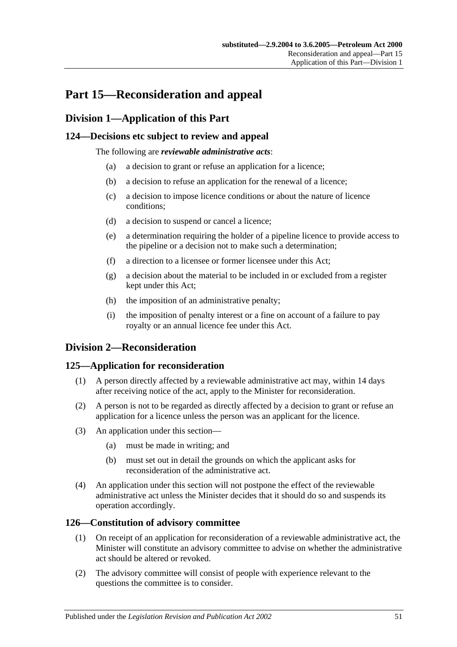# <span id="page-50-0"></span>**Part 15—Reconsideration and appeal**

# <span id="page-50-1"></span>**Division 1—Application of this Part**

# <span id="page-50-2"></span>**124—Decisions etc subject to review and appeal**

The following are *reviewable administrative acts*:

- (a) a decision to grant or refuse an application for a licence;
- (b) a decision to refuse an application for the renewal of a licence;
- (c) a decision to impose licence conditions or about the nature of licence conditions;
- (d) a decision to suspend or cancel a licence;
- (e) a determination requiring the holder of a pipeline licence to provide access to the pipeline or a decision not to make such a determination;
- (f) a direction to a licensee or former licensee under this Act;
- (g) a decision about the material to be included in or excluded from a register kept under this Act;
- (h) the imposition of an administrative penalty;
- (i) the imposition of penalty interest or a fine on account of a failure to pay royalty or an annual licence fee under this Act.

# <span id="page-50-3"></span>**Division 2—Reconsideration**

# <span id="page-50-4"></span>**125—Application for reconsideration**

- (1) A person directly affected by a reviewable administrative act may, within 14 days after receiving notice of the act, apply to the Minister for reconsideration.
- (2) A person is not to be regarded as directly affected by a decision to grant or refuse an application for a licence unless the person was an applicant for the licence.
- (3) An application under this section—
	- (a) must be made in writing; and
	- (b) must set out in detail the grounds on which the applicant asks for reconsideration of the administrative act.
- (4) An application under this section will not postpone the effect of the reviewable administrative act unless the Minister decides that it should do so and suspends its operation accordingly.

# <span id="page-50-5"></span>**126—Constitution of advisory committee**

- (1) On receipt of an application for reconsideration of a reviewable administrative act, the Minister will constitute an advisory committee to advise on whether the administrative act should be altered or revoked.
- (2) The advisory committee will consist of people with experience relevant to the questions the committee is to consider.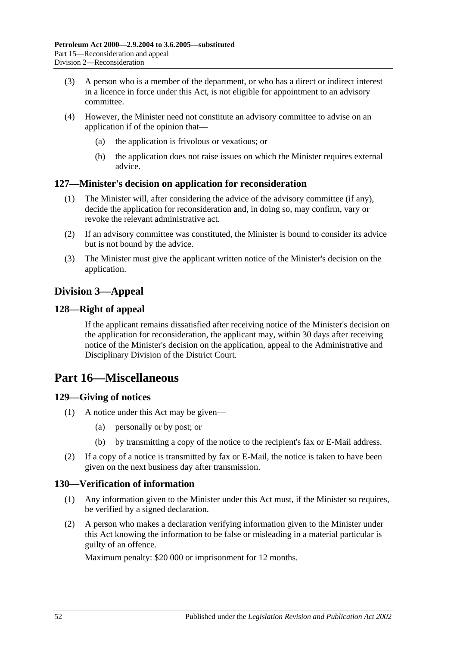- (3) A person who is a member of the department, or who has a direct or indirect interest in a licence in force under this Act, is not eligible for appointment to an advisory committee.
- (4) However, the Minister need not constitute an advisory committee to advise on an application if of the opinion that—
	- (a) the application is frivolous or vexatious; or
	- (b) the application does not raise issues on which the Minister requires external advice.

# <span id="page-51-0"></span>**127—Minister's decision on application for reconsideration**

- (1) The Minister will, after considering the advice of the advisory committee (if any), decide the application for reconsideration and, in doing so, may confirm, vary or revoke the relevant administrative act.
- (2) If an advisory committee was constituted, the Minister is bound to consider its advice but is not bound by the advice.
- (3) The Minister must give the applicant written notice of the Minister's decision on the application.

# <span id="page-51-1"></span>**Division 3—Appeal**

# <span id="page-51-2"></span>**128—Right of appeal**

If the applicant remains dissatisfied after receiving notice of the Minister's decision on the application for reconsideration, the applicant may, within 30 days after receiving notice of the Minister's decision on the application, appeal to the Administrative and Disciplinary Division of the District Court.

# <span id="page-51-3"></span>**Part 16—Miscellaneous**

# <span id="page-51-4"></span>**129—Giving of notices**

- (1) A notice under this Act may be given—
	- (a) personally or by post; or
	- (b) by transmitting a copy of the notice to the recipient's fax or E-Mail address.
- (2) If a copy of a notice is transmitted by fax or E-Mail, the notice is taken to have been given on the next business day after transmission.

# <span id="page-51-5"></span>**130—Verification of information**

- (1) Any information given to the Minister under this Act must, if the Minister so requires, be verified by a signed declaration.
- (2) A person who makes a declaration verifying information given to the Minister under this Act knowing the information to be false or misleading in a material particular is guilty of an offence.

Maximum penalty: \$20 000 or imprisonment for 12 months.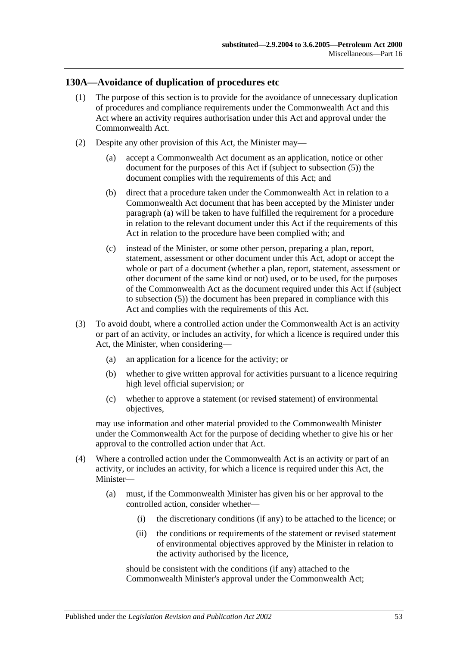### <span id="page-52-0"></span>**130A—Avoidance of duplication of procedures etc**

- (1) The purpose of this section is to provide for the avoidance of unnecessary duplication of procedures and compliance requirements under the Commonwealth Act and this Act where an activity requires authorisation under this Act and approval under the Commonwealth Act.
- <span id="page-52-3"></span><span id="page-52-2"></span><span id="page-52-1"></span>(2) Despite any other provision of this Act, the Minister may—
	- (a) accept a Commonwealth Act document as an application, notice or other document for the purposes of this Act if (subject to [subsection](#page-53-0) (5)) the document complies with the requirements of this Act; and
	- (b) direct that a procedure taken under the Commonwealth Act in relation to a Commonwealth Act document that has been accepted by the Minister under [paragraph](#page-52-1) (a) will be taken to have fulfilled the requirement for a procedure in relation to the relevant document under this Act if the requirements of this Act in relation to the procedure have been complied with; and
	- (c) instead of the Minister, or some other person, preparing a plan, report, statement, assessment or other document under this Act, adopt or accept the whole or part of a document (whether a plan, report, statement, assessment or other document of the same kind or not) used, or to be used, for the purposes of the Commonwealth Act as the document required under this Act if (subject to [subsection](#page-53-0) (5)) the document has been prepared in compliance with this Act and complies with the requirements of this Act.
- (3) To avoid doubt, where a controlled action under the Commonwealth Act is an activity or part of an activity, or includes an activity, for which a licence is required under this Act, the Minister, when considering—
	- (a) an application for a licence for the activity; or
	- (b) whether to give written approval for activities pursuant to a licence requiring high level official supervision; or
	- (c) whether to approve a statement (or revised statement) of environmental objectives,

may use information and other material provided to the Commonwealth Minister under the Commonwealth Act for the purpose of deciding whether to give his or her approval to the controlled action under that Act.

- (4) Where a controlled action under the Commonwealth Act is an activity or part of an activity, or includes an activity, for which a licence is required under this Act, the Minister—
	- (a) must, if the Commonwealth Minister has given his or her approval to the controlled action, consider whether—
		- (i) the discretionary conditions (if any) to be attached to the licence; or
		- (ii) the conditions or requirements of the statement or revised statement of environmental objectives approved by the Minister in relation to the activity authorised by the licence,

should be consistent with the conditions (if any) attached to the Commonwealth Minister's approval under the Commonwealth Act;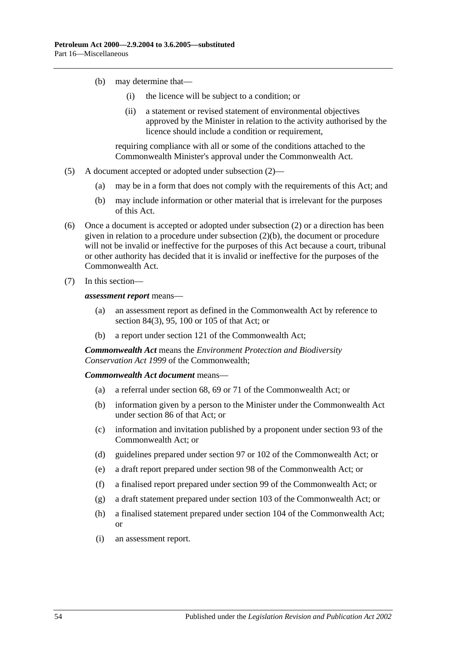- (b) may determine that—
	- (i) the licence will be subject to a condition; or
	- (ii) a statement or revised statement of environmental objectives approved by the Minister in relation to the activity authorised by the licence should include a condition or requirement.

requiring compliance with all or some of the conditions attached to the Commonwealth Minister's approval under the Commonwealth Act.

- <span id="page-53-0"></span>(5) A document accepted or adopted under [subsection](#page-52-2) (2)—
	- (a) may be in a form that does not comply with the requirements of this Act; and
	- (b) may include information or other material that is irrelevant for the purposes of this Act.
- (6) Once a document is accepted or adopted under [subsection](#page-52-2) (2) or a direction has been given in relation to a procedure under [subsection](#page-52-3) (2)(b), the document or procedure will not be invalid or ineffective for the purposes of this Act because a court, tribunal or other authority has decided that it is invalid or ineffective for the purposes of the Commonwealth Act.
- (7) In this section—

*assessment report* means—

- (a) an assessment report as defined in the Commonwealth Act by reference to section 84(3), 95, 100 or 105 of that Act; or
- (b) a report under section 121 of the Commonwealth Act;

*Commonwealth Act* means the *Environment Protection and Biodiversity Conservation Act 1999* of the Commonwealth;

*Commonwealth Act document* means—

- (a) a referral under section 68, 69 or 71 of the Commonwealth Act; or
- (b) information given by a person to the Minister under the Commonwealth Act under section 86 of that Act; or
- (c) information and invitation published by a proponent under section 93 of the Commonwealth Act; or
- (d) guidelines prepared under section 97 or 102 of the Commonwealth Act; or
- (e) a draft report prepared under section 98 of the Commonwealth Act; or
- (f) a finalised report prepared under section 99 of the Commonwealth Act; or
- (g) a draft statement prepared under section 103 of the Commonwealth Act; or
- (h) a finalised statement prepared under section 104 of the Commonwealth Act; or
- (i) an assessment report.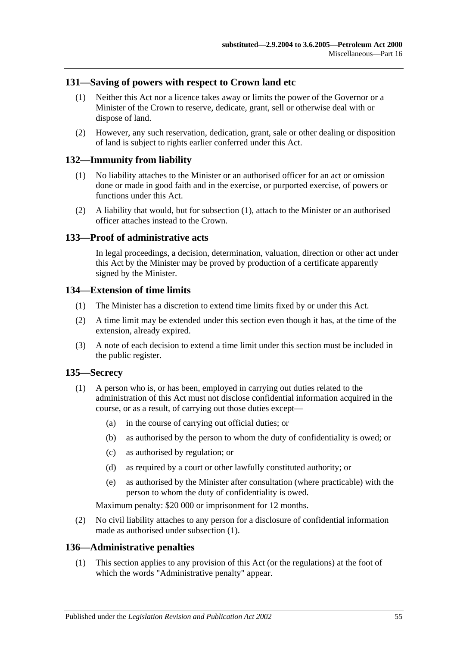### <span id="page-54-0"></span>**131—Saving of powers with respect to Crown land etc**

- (1) Neither this Act nor a licence takes away or limits the power of the Governor or a Minister of the Crown to reserve, dedicate, grant, sell or otherwise deal with or dispose of land.
- (2) However, any such reservation, dedication, grant, sale or other dealing or disposition of land is subject to rights earlier conferred under this Act.

#### <span id="page-54-6"></span><span id="page-54-1"></span>**132—Immunity from liability**

- (1) No liability attaches to the Minister or an authorised officer for an act or omission done or made in good faith and in the exercise, or purported exercise, of powers or functions under this Act.
- (2) A liability that would, but for [subsection](#page-54-6) (1), attach to the Minister or an authorised officer attaches instead to the Crown.

#### <span id="page-54-2"></span>**133—Proof of administrative acts**

In legal proceedings, a decision, determination, valuation, direction or other act under this Act by the Minister may be proved by production of a certificate apparently signed by the Minister.

### <span id="page-54-3"></span>**134—Extension of time limits**

- (1) The Minister has a discretion to extend time limits fixed by or under this Act.
- (2) A time limit may be extended under this section even though it has, at the time of the extension, already expired.
- (3) A note of each decision to extend a time limit under this section must be included in the public register.

#### <span id="page-54-7"></span><span id="page-54-4"></span>**135—Secrecy**

- (1) A person who is, or has been, employed in carrying out duties related to the administration of this Act must not disclose confidential information acquired in the course, or as a result, of carrying out those duties except—
	- (a) in the course of carrying out official duties; or
	- (b) as authorised by the person to whom the duty of confidentiality is owed; or
	- (c) as authorised by regulation; or
	- (d) as required by a court or other lawfully constituted authority; or
	- (e) as authorised by the Minister after consultation (where practicable) with the person to whom the duty of confidentiality is owed.

Maximum penalty: \$20 000 or imprisonment for 12 months.

(2) No civil liability attaches to any person for a disclosure of confidential information made as authorised under [subsection](#page-54-7) (1).

#### <span id="page-54-5"></span>**136—Administrative penalties**

(1) This section applies to any provision of this Act (or the regulations) at the foot of which the words "Administrative penalty" appear.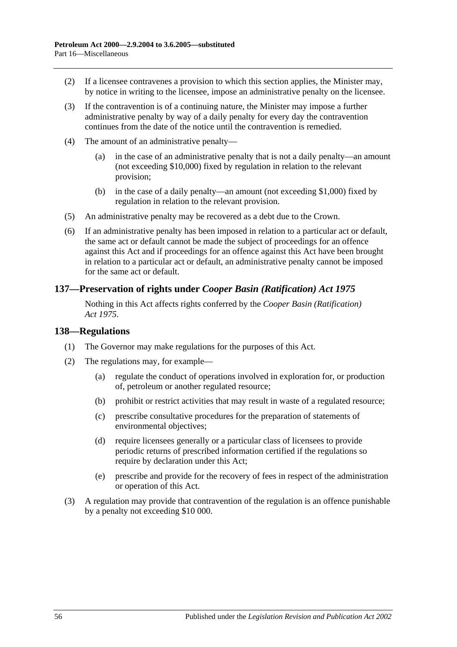- (2) If a licensee contravenes a provision to which this section applies, the Minister may, by notice in writing to the licensee, impose an administrative penalty on the licensee.
- (3) If the contravention is of a continuing nature, the Minister may impose a further administrative penalty by way of a daily penalty for every day the contravention continues from the date of the notice until the contravention is remedied.
- (4) The amount of an administrative penalty—
	- (a) in the case of an administrative penalty that is not a daily penalty—an amount (not exceeding \$10,000) fixed by regulation in relation to the relevant provision;
	- (b) in the case of a daily penalty—an amount (not exceeding \$1,000) fixed by regulation in relation to the relevant provision.
- (5) An administrative penalty may be recovered as a debt due to the Crown.
- (6) If an administrative penalty has been imposed in relation to a particular act or default, the same act or default cannot be made the subject of proceedings for an offence against this Act and if proceedings for an offence against this Act have been brought in relation to a particular act or default, an administrative penalty cannot be imposed for the same act or default.

# <span id="page-55-0"></span>**137—Preservation of rights under** *Cooper Basin (Ratification) Act 1975*

Nothing in this Act affects rights conferred by the *[Cooper Basin \(Ratification\)](http://www.legislation.sa.gov.au/index.aspx?action=legref&type=act&legtitle=Cooper%20Basin%20(Ratification)%20Act%201975)  Act [1975](http://www.legislation.sa.gov.au/index.aspx?action=legref&type=act&legtitle=Cooper%20Basin%20(Ratification)%20Act%201975)*.

#### <span id="page-55-1"></span>**138—Regulations**

- (1) The Governor may make regulations for the purposes of this Act.
- (2) The regulations may, for example—
	- (a) regulate the conduct of operations involved in exploration for, or production of, petroleum or another regulated resource;
	- (b) prohibit or restrict activities that may result in waste of a regulated resource;
	- (c) prescribe consultative procedures for the preparation of statements of environmental objectives;
	- (d) require licensees generally or a particular class of licensees to provide periodic returns of prescribed information certified if the regulations so require by declaration under this Act;
	- (e) prescribe and provide for the recovery of fees in respect of the administration or operation of this Act.
- (3) A regulation may provide that contravention of the regulation is an offence punishable by a penalty not exceeding \$10 000.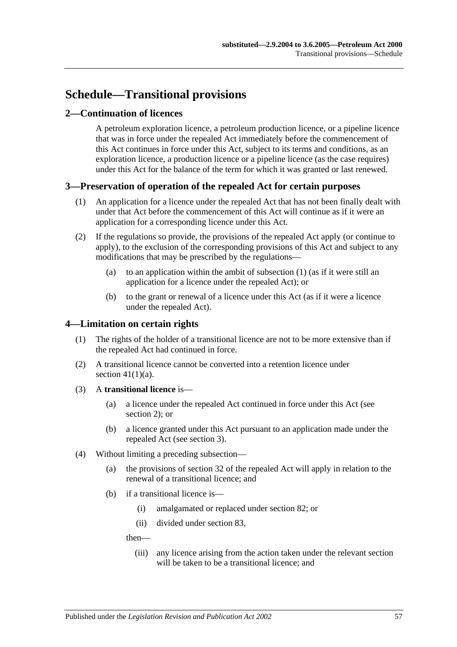# <span id="page-56-0"></span>**Schedule—Transitional provisions**

# <span id="page-56-1"></span>**2—Continuation of licences**

A petroleum exploration licence, a petroleum production licence, or a pipeline licence that was in force under the repealed Act immediately before the commencement of this Act continues in force under this Act, subject to its terms and conditions, as an exploration licence, a production licence or a pipeline licence (as the case requires) under this Act for the balance of the term for which it was granted or last renewed.

# <span id="page-56-4"></span><span id="page-56-2"></span>**3—Preservation of operation of the repealed Act for certain purposes**

- (1) An application for a licence under the repealed Act that has not been finally dealt with under that Act before the commencement of this Act will continue as if it were an application for a corresponding licence under this Act.
- (2) If the regulations so provide, the provisions of the repealed Act apply (or continue to apply), to the exclusion of the corresponding provisions of this Act and subject to any modifications that may be prescribed by the regulations—
	- (a) to an application within the ambit of [subsection](#page-56-4) (1) (as if it were still an application for a licence under the repealed Act); or
	- (b) to the grant or renewal of a licence under this Act (as if it were a licence under the repealed Act).

# <span id="page-56-3"></span>**4—Limitation on certain rights**

- (1) The rights of the holder of a transitional licence are not to be more extensive than if the repealed Act had continued in force.
- (2) A transitional licence cannot be converted into a retention licence under section  $41(1)(a)$ .
- (3) A **transitional licence** is—
	- (a) a licence under the repealed Act continued in force under this Act (see [section](#page-56-1) 2); or
	- (b) a licence granted under this Act pursuant to an application made under the repealed Act (see [section](#page-56-2) 3).
- <span id="page-56-5"></span>(4) Without limiting a preceding subsection—
	- (a) the provisions of section 32 of the repealed Act will apply in relation to the renewal of a transitional licence; and
	- (b) if a transitional licence is—
		- (i) amalgamated or replaced under [section](#page-35-1) 82; or
		- (ii) divided under [section](#page-35-2) 83,

then—

(iii) any licence arising from the action taken under the relevant section will be taken to be a transitional licence; and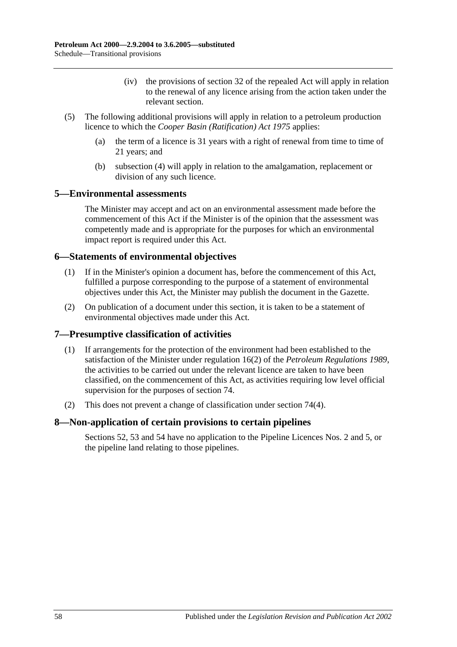- (iv) the provisions of section 32 of the repealed Act will apply in relation to the renewal of any licence arising from the action taken under the relevant section.
- (5) The following additional provisions will apply in relation to a petroleum production licence to which the *[Cooper Basin \(Ratification\) Act](http://www.legislation.sa.gov.au/index.aspx?action=legref&type=act&legtitle=Cooper%20Basin%20(Ratification)%20Act%201975) 1975* applies:
	- (a) the term of a licence is 31 years with a right of renewal from time to time of 21 years; and
	- (b) [subsection](#page-56-5) (4) will apply in relation to the amalgamation, replacement or division of any such licence.

# <span id="page-57-0"></span>**5—Environmental assessments**

The Minister may accept and act on an environmental assessment made before the commencement of this Act if the Minister is of the opinion that the assessment was competently made and is appropriate for the purposes for which an environmental impact report is required under this Act.

### <span id="page-57-1"></span>**6—Statements of environmental objectives**

- (1) If in the Minister's opinion a document has, before the commencement of this Act, fulfilled a purpose corresponding to the purpose of a statement of environmental objectives under this Act, the Minister may publish the document in the Gazette.
- (2) On publication of a document under this section, it is taken to be a statement of environmental objectives made under this Act.

# <span id="page-57-2"></span>**7—Presumptive classification of activities**

- (1) If arrangements for the protection of the environment had been established to the satisfaction of the Minister under regulation 16(2) of the *[Petroleum Regulations](http://www.legislation.sa.gov.au/index.aspx?action=legref&type=subordleg&legtitle=Petroleum%20Regulations%201989) 1989*, the activities to be carried out under the relevant licence are taken to have been classified, on the commencement of this Act, as activities requiring low level official supervision for the purposes of [section](#page-32-0) 74.
- (2) This does not prevent a change of classification under [section](#page-32-3) 74(4).

# <span id="page-57-3"></span>**8—Non-application of certain provisions to certain pipelines**

[Sections](#page-24-5) 52, [53](#page-25-0) and [54](#page-25-1) have no application to the Pipeline Licences Nos. 2 and 5, or the pipeline land relating to those pipelines.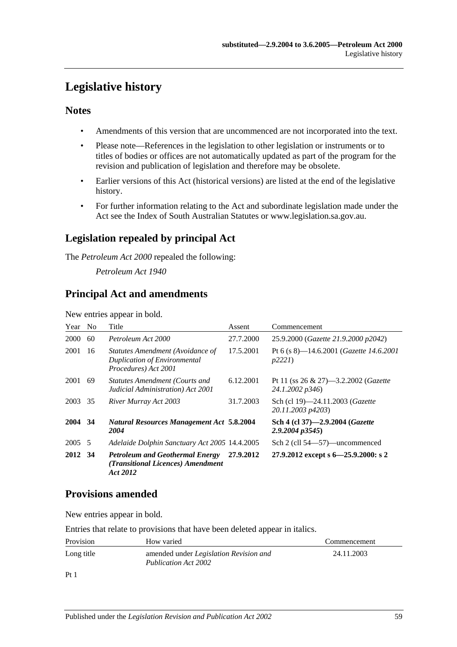# <span id="page-58-0"></span>**Legislative history**

# **Notes**

- Amendments of this version that are uncommenced are not incorporated into the text.
- Please note—References in the legislation to other legislation or instruments or to titles of bodies or offices are not automatically updated as part of the program for the revision and publication of legislation and therefore may be obsolete.
- Earlier versions of this Act (historical versions) are listed at the end of the legislative history.
- For further information relating to the Act and subordinate legislation made under the Act see the Index of South Australian Statutes or www.legislation.sa.gov.au.

# **Legislation repealed by principal Act**

The *Petroleum Act 2000* repealed the following:

*Petroleum Act 1940*

# **Principal Act and amendments**

New entries appear in bold.

| Year    | N <sub>0</sub> | Title                                                                                           | Assent    | Commencement                                                        |
|---------|----------------|-------------------------------------------------------------------------------------------------|-----------|---------------------------------------------------------------------|
| 2000    | 60             | Petroleum Act 2000                                                                              | 27.7.2000 | 25.9.2000 (Gazette 21.9.2000 p2042)                                 |
| 2001    | 16             | Statutes Amendment (Avoidance of<br><b>Duplication of Environmental</b><br>Procedures) Act 2001 | 17.5.2001 | Pt 6 (s 8)—14.6.2001 ( <i>Gazette 14.6.2001</i><br>p2221            |
| 2001    | 69             | <b>Statutes Amendment (Courts and</b><br>Judicial Administration) Act 2001                      | 6.12.2001 | Pt 11 (ss $26 \& 27$ )—3.2.2002 ( <i>Gazette</i><br>24.1.2002 p346) |
| 2003    | 35             | River Murray Act 2003                                                                           | 31.7.2003 | Sch (cl 19)-24.11.2003 (Gazette<br>20.11.2003 p4203)                |
| 2004 34 |                | <b>Natural Resources Management Act 5.8.2004</b><br>2004                                        |           | Sch 4 (cl 37)-2.9.2004 (Gazette<br>$2.9.2004$ $p3545$ )             |
| 2005 5  |                | Adelaide Dolphin Sanctuary Act 2005 14.4.2005                                                   |           | Sch 2 (cll 54—57)—uncommenced                                       |
| 2012    | -34            | <b>Petroleum and Geothermal Energy</b><br>(Transitional Licences) Amendment<br>Act 2012         | 27.9.2012 | 27.9.2012 except s 6-25.9.2000: s 2                                 |

# **Provisions amended**

New entries appear in bold.

Entries that relate to provisions that have been deleted appear in italics.

| Provision  | How varied                                                            | Commencement |
|------------|-----------------------------------------------------------------------|--------------|
| Long title | amended under <i>Legislation Revision and</i><br>Publication Act 2002 | 24.11.2003   |

Pt 1